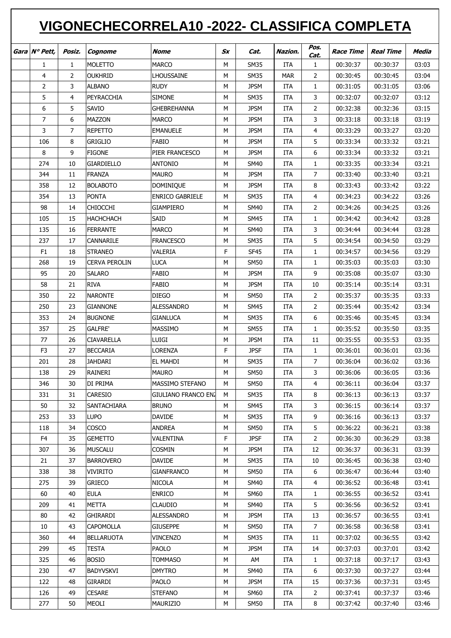## **VIGONECHECORRELA10 -2022- CLASSIFICA COMPLETA**

| Gara Nº Pett,  | Posiz.       | Cognome              | <b>Nome</b>            | $S_X$ | Cat.        | Nazion.    | Pos.           | <b>Race Time</b> | <b>Real Time</b> | Media |
|----------------|--------------|----------------------|------------------------|-------|-------------|------------|----------------|------------------|------------------|-------|
|                |              |                      |                        |       |             |            | Cat.           |                  |                  |       |
| 1              | $\mathbf{1}$ | <b>MOLETTO</b>       | <b>MARCO</b>           | M     | <b>SM35</b> | <b>ITA</b> | $\mathbf{1}$   | 00:30:37         | 00:30:37         | 03:03 |
| 4              | 2            | <b>OUKHRID</b>       | LHOUSSAINE             | M     | <b>SM35</b> | <b>MAR</b> | 2              | 00:30:45         | 00:30:45         | 03:04 |
| 2              | 3            | <b>ALBANO</b>        | <b>RUDY</b>            | М     | <b>JPSM</b> | ITA        | $\mathbf{1}$   | 00:31:05         | 00:31:05         | 03:06 |
| 5              | 4            | PEYRACCHIA           | <b>SIMONE</b>          | М     | <b>SM35</b> | ITA        | 3              | 00:32:07         | 00:32:07         | 03:12 |
| 6              | 5            | SAVIO                | <b>GHEBREHANNA</b>     | M     | <b>JPSM</b> | ITA        | $\overline{2}$ | 00:32:38         | 00:32:36         | 03:15 |
| 7              | 6            | <b>MAZZON</b>        | <b>MARCO</b>           | М     | <b>JPSM</b> | ITA        | 3              | 00:33:18         | 00:33:18         | 03:19 |
| 3              | 7            | <b>REPETTO</b>       | <b>EMANUELE</b>        | М     | <b>JPSM</b> | <b>ITA</b> | 4              | 00:33:29         | 00:33:27         | 03:20 |
| 106            | 8            | <b>GRIGLIO</b>       | <b>FABIO</b>           | М     | <b>JPSM</b> | <b>ITA</b> | 5              | 00:33:34         | 00:33:32         | 03:21 |
| 8              | 9            | <b>FIGONE</b>        | PIER FRANCESCO         | М     | <b>JPSM</b> | ITA        | 6              | 00:33:34         | 00:33:32         | 03:21 |
| 274            | 10           | GIARDIELLO           | <b>ANTONIO</b>         | М     | <b>SM40</b> | ITA        | $\mathbf{1}$   | 00:33:35         | 00:33:34         | 03:21 |
| 344            | 11           | <b>FRANZA</b>        | <b>MAURO</b>           | М     | <b>JPSM</b> | ITA        | $\overline{7}$ | 00:33:40         | 00:33:40         | 03:21 |
| 358            | 12           | <b>BOLABOTO</b>      | <b>DOMINIQUE</b>       | M     | <b>JPSM</b> | ITA        | 8              | 00:33:43         | 00:33:42         | 03:22 |
| 354            | 13           | <b>PONTA</b>         | <b>ENRICO GABRIELE</b> | M     | <b>SM35</b> | <b>ITA</b> | 4              | 00:34:23         | 00:34:22         | 03:26 |
| 98             | 14           | <b>CHIOCCHI</b>      | <b>GIAMPIERO</b>       | M     | <b>SM40</b> | <b>ITA</b> | 2              | 00:34:26         | 00:34:25         | 03:26 |
| 105            | 15           | <b>HACHCHACH</b>     | SAID                   | М     | <b>SM45</b> | <b>ITA</b> | $\mathbf{1}$   | 00:34:42         | 00:34:42         | 03:28 |
| 135            | 16           | <b>FERRANTE</b>      | <b>MARCO</b>           | М     | <b>SM40</b> | ITA        | 3              | 00:34:44         | 00:34:44         | 03:28 |
| 237            | 17           | CANNARILE            | <b>FRANCESCO</b>       | М     | <b>SM35</b> | <b>ITA</b> | 5              | 00:34:54         | 00:34:50         | 03:29 |
| F <sub>1</sub> | 18           | <b>STRANEO</b>       | VALERIA                | F     | <b>SF45</b> | <b>ITA</b> | $\mathbf{1}$   | 00:34:57         | 00:34:56         | 03:29 |
| 268            | 19           | <b>CERVA PEROLIN</b> | <b>LUCA</b>            | М     | <b>SM50</b> | ITA        | 1              | 00:35:03         | 00:35:03         | 03:30 |
| 95             | 20           | <b>SALARO</b>        | <b>FABIO</b>           | М     | <b>JPSM</b> | ITA        | 9              | 00:35:08         | 00:35:07         | 03:30 |
| 58             | 21           | <b>RIVA</b>          | FABIO                  | М     | <b>JPSM</b> | <b>ITA</b> | 10             | 00:35:14         | 00:35:14         | 03:31 |
| 350            | 22           | <b>NARONTE</b>       | <b>DIEGO</b>           | М     | <b>SM50</b> | <b>ITA</b> | $\overline{2}$ | 00:35:37         | 00:35:35         | 03:33 |
| 250            | 23           | <b>GIANNONE</b>      | ALESSANDRO             | М     | <b>SM45</b> | <b>ITA</b> | $\overline{2}$ | 00:35:44         | 00:35:42         | 03:34 |
| 353            | 24           | <b>BUGNONE</b>       | <b>GIANLUCA</b>        | М     | <b>SM35</b> | ITA        | 6              | 00:35:46         | 00:35:45         | 03:34 |
| 357            | 25           | <b>GALFRE'</b>       | MASSIMO                | М     | <b>SM55</b> | ITA        | $\mathbf{1}$   | 00:35:52         | 00:35:50         | 03:35 |
| 77             | 26           | <b>CIAVARELLA</b>    | LUIGI                  | М     | <b>JPSM</b> | <b>ITA</b> | 11             | 00:35:55         | 00:35:53         | 03:35 |
| F <sub>3</sub> | 27           | <b>BECCARIA</b>      | <b>LORENZA</b>         | F     | <b>JPSF</b> | <b>ITA</b> | $\mathbf{1}$   | 00:36:01         | 00:36:01         | 03:36 |
| 201            | 28           | <b>JAHDARI</b>       | EL MAHDI               | М     | <b>SM35</b> | <b>ITA</b> | 7              | 00:36:04         | 00:36:02         | 03:36 |
| 138            | 29           | RAINERI              | <b>MAURO</b>           | M     | <b>SM50</b> | <b>ITA</b> | 3              | 00:36:06         | 00:36:05         | 03:36 |
| 346            | 30           | DI PRIMA             | MASSIMO STEFANO        | м     | <b>SM50</b> | ITA        | 4              | 00:36:11         | 00:36:04         | 03:37 |
| 331            | 31           | CARESIO              | GIULIANO FRANCO ENJ    | M     | <b>SM35</b> | ITA        | 8              | 00:36:13         | 00:36:13         | 03:37 |
| 50             | 32           | SANTACHIARA          | <b>BRUNO</b>           | М     | <b>SM45</b> | ITA        | 3              | 00:36:15         | 00:36:14         | 03:37 |
| 253            | 33           | <b>LUPO</b>          | DAVIDE                 | М     | <b>SM35</b> | ITA        | 9              | 00:36:16         | 00:36:13         | 03:37 |
| 118            | 34           | <b>COSCO</b>         | <b>ANDREA</b>          | М     | SM50        | ITA        | 5              | 00:36:22         | 00:36:21         | 03:38 |
| F <sub>4</sub> | 35           | <b>GEMETTO</b>       | VALENTINA              | F     | <b>JPSF</b> | ITA        | $\overline{2}$ | 00:36:30         | 00:36:29         | 03:38 |
| 307            | 36           | <b>MUSCALU</b>       | COSMIN                 | М     | <b>JPSM</b> | ITA        | 12             | 00:36:37         | 00:36:31         | 03:39 |
| 21             | 37           | <b>BARROVERO</b>     | <b>DAVIDE</b>          | М     | SM35        | ITA        | 10             | 00:36:45         | 00:36:38         | 03:40 |
| 338            | 38           | <b>VIVIRITO</b>      | <b>GIANFRANCO</b>      | М     | <b>SM50</b> | ITA        | 6              | 00:36:47         | 00:36:44         | 03:40 |
| 275            | 39           | <b>GRIECO</b>        | NICOLA                 | М     | SM40        | ITA        | 4              | 00:36:52         | 00:36:48         | 03:41 |
| 60             | 40           | <b>EULA</b>          | <b>ENRICO</b>          | М     | SM60        | ITA        | 1              | 00:36:55         | 00:36:52         | 03:41 |
| 209            | 41           | <b>METTA</b>         | <b>CLAUDIO</b>         | М     | <b>SM40</b> | ITA        | 5              | 00:36:56         | 00:36:52         | 03:41 |
| 80             | 42           | GHIRARDI             | <b>ALESSANDRO</b>      | М     | <b>JPSM</b> | ITA        | 13             | 00:36:57         | 00:36:55         | 03:41 |
| 10             | 43           | <b>CAPOMOLLA</b>     | <b>GIUSEPPE</b>        | М     | <b>SM50</b> | ITA        | $\overline{7}$ | 00:36:58         | 00:36:58         | 03:41 |
| 360            | 44           | <b>BELLARUOTA</b>    | <b>VINCENZO</b>        | М     | <b>SM35</b> | ITA        | 11             | 00:37:02         | 00:36:55         | 03:42 |
| 299            | 45           | <b>TESTA</b>         | <b>PAOLO</b>           | М     | <b>JPSM</b> | ITA        | 14             | 00:37:03         | 00:37:01         | 03:42 |
| 325            | 46           | <b>BOSIO</b>         | <b>TOMMASO</b>         | М     | AM          | ITA        | $\mathbf{1}$   | 00:37:18         | 00:37:17         | 03:43 |
| 230            | 47           | <b>BADYVSKVI</b>     | <b>DMYTRO</b>          | М     | <b>SM40</b> | ITA        | 6              | 00:37:30         | 00:37:27         | 03:44 |
| 122            | 48           | <b>GIRARDI</b>       | PAOLO                  | М     | <b>JPSM</b> | ITA        | 15             | 00:37:36         | 00:37:31         | 03:45 |
| 126            | 49           | <b>CESARE</b>        | <b>STEFANO</b>         | М     | <b>SM60</b> | ITA        | $\overline{2}$ | 00:37:41         | 00:37:37         | 03:46 |
| 277            | 50           | MEOLI                | <b>MAURIZIO</b>        | М     | <b>SM50</b> | ITA        | 8              | 00:37:42         | 00:37:40         | 03:46 |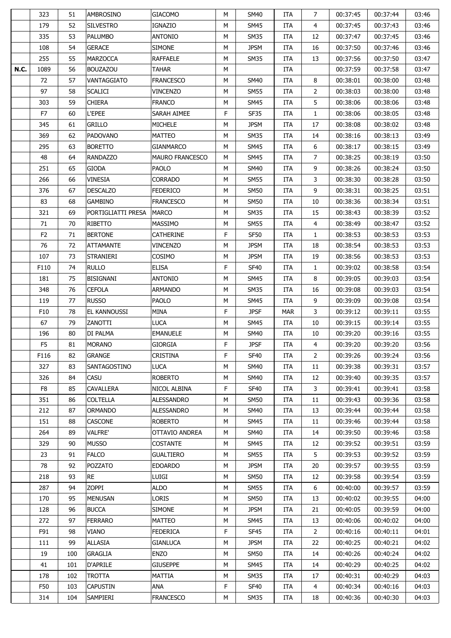|             | 323            | 51  | AMBROSINO          | <b>GIACOMO</b>         | м | <b>SM40</b> | <b>ITA</b> | 7              | 00:37:45 | 00:37:44 | 03:46 |
|-------------|----------------|-----|--------------------|------------------------|---|-------------|------------|----------------|----------|----------|-------|
|             | 179            | 52  | <b>SILVESTRO</b>   | <b>IGNAZIO</b>         | М | <b>SM45</b> | <b>ITA</b> | 4              | 00:37:45 | 00:37:43 | 03:46 |
|             | 335            | 53  | <b>PALUMBO</b>     | <b>ANTONIO</b>         | M | <b>SM35</b> | ITA        | 12             | 00:37:47 | 00:37:45 | 03:46 |
|             | 108            | 54  | <b>GERACE</b>      | <b>SIMONE</b>          | М | <b>JPSM</b> | ITA        | 16             | 00:37:50 | 00:37:46 | 03:46 |
|             | 255            | 55  | <b>MARZOCCA</b>    | <b>RAFFAELE</b>        | М | <b>SM35</b> | ITA        | 13             | 00:37:56 | 00:37:50 | 03:47 |
| <b>N.C.</b> | 1089           | 56  | <b>BOUZAZOU</b>    | <b>TAHAR</b>           | М |             | ITA        |                | 00:37:59 | 00:37:58 | 03:47 |
|             | 72             | 57  | VANTAGGIATO        | <b>FRANCESCO</b>       | М | <b>SM40</b> | ITA        | 8              | 00:38:01 | 00:38:00 | 03:48 |
|             | 97             | 58  | <b>SCALICI</b>     | <b>VINCENZO</b>        | M | <b>SM55</b> | <b>ITA</b> | $\overline{2}$ | 00:38:03 | 00:38:00 | 03:48 |
|             | 303            | 59  | <b>CHIERA</b>      | <b>FRANCO</b>          | М | <b>SM45</b> | ITA        | 5              | 00:38:06 | 00:38:06 | 03:48 |
|             | F7             | 60  | L'EPEE             | SARAH AIMEE            | F | <b>SF35</b> | ITA        | $\mathbf{1}$   | 00:38:06 | 00:38:05 | 03:48 |
|             | 345            | 61  | <b>GRILLO</b>      | <b>MICHELE</b>         | М | <b>JPSM</b> | <b>ITA</b> | 17             | 00:38:08 | 00:38:02 | 03:48 |
|             | 369            | 62  | <b>PADOVANO</b>    | <b>MATTEO</b>          | М | <b>SM35</b> | ITA        | 14             | 00:38:16 | 00:38:13 | 03:49 |
|             | 295            | 63  | <b>BORETTO</b>     | <b>GIANMARCO</b>       | М | <b>SM45</b> | ITA        | 6              | 00:38:17 | 00:38:15 | 03:49 |
|             | 48             | 64  | <b>RANDAZZO</b>    | <b>MAURO FRANCESCO</b> | М | SM45        | ITA        | 7              | 00:38:25 | 00:38:19 | 03:50 |
|             | 251            | 65  | <b>GIODA</b>       | PAOLO                  | М | <b>SM40</b> | <b>ITA</b> | 9              | 00:38:26 | 00:38:24 | 03:50 |
|             | 266            | 66  | <b>VINESIA</b>     | <b>CORRADO</b>         | М | <b>SM55</b> | <b>ITA</b> | 3              | 00:38:30 | 00:38:28 | 03:50 |
|             | 376            | 67  | <b>DESCALZO</b>    | <b>FEDERICO</b>        | М | SM50        | <b>ITA</b> | 9              | 00:38:31 | 00:38:25 | 03:51 |
|             | 83             | 68  | <b>GAMBINO</b>     | <b>FRANCESCO</b>       | М | SM50        | <b>ITA</b> | 10             | 00:38:36 | 00:38:34 | 03:51 |
|             | 321            | 69  | PORTIGLIATTI PRESA | <b>MARCO</b>           | М | <b>SM35</b> | ITA        | 15             | 00:38:43 | 00:38:39 | 03:52 |
|             | 71             | 70  | RIBETTO            | <b>MASSIMO</b>         | М | SM55        | <b>ITA</b> | 4              | 00:38:49 | 00:38:47 | 03:52 |
|             | F <sub>2</sub> | 71  | <b>BERTONE</b>     | CATHERINE              | F | <b>SF50</b> | <b>ITA</b> | $\mathbf{1}$   | 00:38:53 | 00:38:53 | 03:53 |
|             |                |     | <b>ATTAMANTE</b>   | <b>VINCENZO</b>        |   | <b>JPSM</b> |            | 18             |          |          | 03:53 |
|             | 76             | 72  |                    |                        | М |             | ITA        |                | 00:38:54 | 00:38:53 |       |
|             | 107            | 73  | <b>STRANIERI</b>   | COSIMO                 | М | <b>JPSM</b> | ITA        | 19             | 00:38:56 | 00:38:53 | 03:53 |
|             | F110           | 74  | <b>RULLO</b>       | <b>ELISA</b>           | F | <b>SF40</b> | ITA        | $\mathbf{1}$   | 00:39:02 | 00:38:58 | 03:54 |
|             | 181            | 75  | <b>BISIGNANI</b>   | <b>ANTONIO</b>         | М | <b>SM45</b> | <b>ITA</b> | 8              | 00:39:05 | 00:39:03 | 03:54 |
|             | 348            | 76  | <b>CEFOLA</b>      | ARMANDO                | М | SM35        | ITA        | 16             | 00:39:08 | 00:39:03 | 03:54 |
|             | 119            | 77  | <b>RUSSO</b>       | PAOLO                  | М | SM45        | <b>ITA</b> | 9              | 00:39:09 | 00:39:08 | 03:54 |
|             | F10            | 78  | EL KANNOUSSI       | MINA                   | F | <b>JPSF</b> | <b>MAR</b> | 3              | 00:39:12 | 00:39:11 | 03:55 |
|             | 67             | 79  | ZANOTTI            | <b>LUCA</b>            | М | <b>SM45</b> | ITA        | 10             | 00:39:15 | 00:39:14 | 03:55 |
|             | 196            | 80  | DI PALMA           | <b>EMANUELE</b>        | М | <b>SM40</b> | <b>ITA</b> | 10             | 00:39:20 | 00:39:16 | 03:55 |
|             | F <sub>5</sub> | 81  | <b>MORANO</b>      | <b>GIORGIA</b>         | F | <b>JPSF</b> | ITA        | 4              | 00:39:20 | 00:39:20 | 03:56 |
|             | F116           | 82  | <b>GRANGE</b>      | <b>CRISTINA</b>        | F | <b>SF40</b> | ITA        | $\overline{2}$ | 00:39:26 | 00:39:24 | 03:56 |
|             | 327            | 83  | SANTAGOSTINO       | <b>LUCA</b>            | м | <b>SM40</b> | <b>ITA</b> | 11             | 00:39:38 | 00:39:31 | 03:57 |
|             | 326            | 84  | CASU               | <b>ROBERTO</b>         | М | <b>SM40</b> | ITA        | 12             | 00:39:40 | 00:39:35 | 03:57 |
|             | F <sub>8</sub> | 85  | CAVALLERA          | NICOL ALBINA           | F | <b>SF40</b> | <b>ITA</b> | 3              | 00:39:41 | 00:39:41 | 03:58 |
|             | 351            | 86  | <b>COLTELLA</b>    | <b>ALESSANDRO</b>      | М | <b>SM50</b> | ITA        | 11             | 00:39:43 | 00:39:36 | 03:58 |
|             | 212            | 87  | <b>ORMANDO</b>     | <b>ALESSANDRO</b>      | М | <b>SM40</b> | ITA        | 13             | 00:39:44 | 00:39:44 | 03:58 |
|             | 151            | 88  | <b>CASCONE</b>     | <b>ROBERTO</b>         | М | <b>SM45</b> | ITA        | 11             | 00:39:46 | 00:39:44 | 03:58 |
|             | 264            | 89  | <b>VALFRE'</b>     | OTTAVIO ANDREA         | м | SM40        | <b>ITA</b> | 14             | 00:39:50 | 00:39:46 | 03:58 |
|             | 329            | 90  | MUSSO              | <b>COSTANTE</b>        | М | SM45        | ITA        | 12             | 00:39:52 | 00:39:51 | 03:59 |
|             | 23             | 91  | <b>FALCO</b>       | <b>GUALTIERO</b>       | М | <b>SM55</b> | <b>ITA</b> | 5              | 00:39:53 | 00:39:52 | 03:59 |
|             | 78             | 92  | <b>POZZATO</b>     | <b>EDOARDO</b>         | М | <b>JPSM</b> | ITA        | 20             | 00:39:57 | 00:39:55 | 03:59 |
|             | 218            | 93  | <b>RE</b>          | LUIGI                  | М | <b>SM50</b> | ITA        | 12             | 00:39:58 | 00:39:54 | 03:59 |
|             | 287            | 94  | ZOPPI              | <b>ALDO</b>            | м | <b>SM55</b> | ITA        | 6              | 00:40:00 | 00:39:57 | 03:59 |
|             | 170            | 95  | <b>MENUSAN</b>     | LORIS                  | М | SM50        | ITA        | 13             | 00:40:02 | 00:39:55 | 04:00 |
|             | 128            | 96  | <b>BUCCA</b>       | <b>SIMONE</b>          | м | <b>JPSM</b> | ITA        | 21             | 00:40:05 | 00:39:59 | 04:00 |
|             | 272            | 97  | <b>FERRARO</b>     | <b>MATTEO</b>          | М | <b>SM45</b> | ITA        | 13             | 00:40:06 | 00:40:02 | 04:00 |
|             | F91            | 98  | VIANO              | <b>FEDERICA</b>        | F | SF45        | <b>ITA</b> | $\overline{2}$ | 00:40:16 | 00:40:11 | 04:01 |
|             | 111            | 99  | <b>ALLASIA</b>     | <b>GIANLUCA</b>        | М | <b>JPSM</b> | <b>ITA</b> | 22             | 00:40:25 | 00:40:21 | 04:02 |
|             | 19             | 100 | GRAGLIA            | <b>ENZO</b>            | М | SM50        | ITA        | 14             | 00:40:26 | 00:40:24 | 04:02 |
|             | 41             | 101 | <b>D'APRILE</b>    | <b>GIUSEPPE</b>        | М | <b>SM45</b> | ITA        | 14             | 00:40:29 | 00:40:25 | 04:02 |
|             | 178            | 102 | TROTTA             | MATTIA                 | М | SM35        | ITA        | 17             | 00:40:31 | 00:40:29 | 04:03 |
|             | F50            | 103 | <b>CAPUSTIN</b>    | ANA                    | F | SF40        | ITA        | $\overline{4}$ | 00:40:34 | 00:40:16 | 04:03 |
|             | 314            | 104 | SAMPIERI           | <b>FRANCESCO</b>       | М | <b>SM35</b> | ITA        | 18             | 00:40:36 | 00:40:30 | 04:03 |
|             |                |     |                    |                        |   |             |            |                |          |          |       |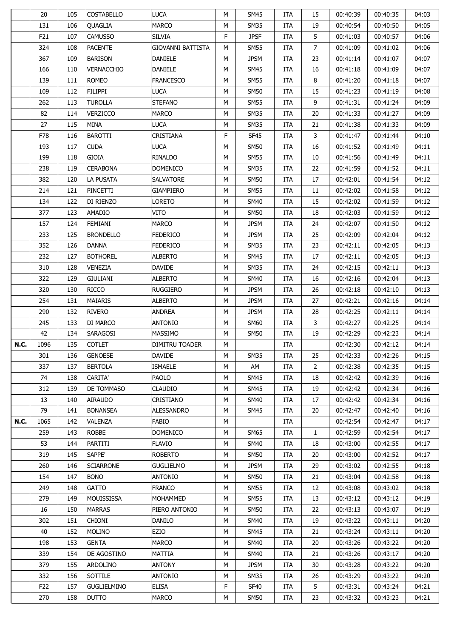|             | 20              | 105 | <b>COSTABELLO</b>  | <b>LUCA</b>              | м | SM45             | ITA        | 15             | 00:40:39 | 00:40:35 | 04:03 |
|-------------|-----------------|-----|--------------------|--------------------------|---|------------------|------------|----------------|----------|----------|-------|
|             | 131             | 106 | <b>OUAGLIA</b>     | <b>MARCO</b>             | М | <b>SM35</b>      | <b>ITA</b> | 19             | 00:40:54 | 00:40:50 | 04:05 |
|             | F21             | 107 | <b>CAMUSSO</b>     | <b>SILVIA</b>            | F | <b>JPSF</b>      | ITA        | 5              | 00:41:03 | 00:40:57 | 04:06 |
|             | 324             | 108 | <b>PACENTE</b>     | <b>GIOVANNI BATTISTA</b> | М | SM55             | <b>ITA</b> | $\overline{7}$ | 00:41:09 | 00:41:02 | 04:06 |
|             | 367             | 109 | <b>BARISON</b>     | <b>DANIELE</b>           | М | <b>JPSM</b>      | <b>ITA</b> | 23             | 00:41:14 | 00:41:07 | 04:07 |
|             | 166             | 110 | <b>VERNACCHIO</b>  | <b>DANIELE</b>           | М | <b>SM45</b>      | ITA        | 16             | 00:41:18 | 00:41:09 | 04:07 |
|             | 139             | 111 | <b>ROMEO</b>       | <b>FRANCESCO</b>         | М | <b>SM55</b>      | ITA        | 8              | 00:41:20 | 00:41:18 | 04:07 |
|             | 109             | 112 | <b>FILIPPI</b>     | <b>LUCA</b>              | М | <b>SM50</b>      | <b>ITA</b> | 15             | 00:41:23 | 00:41:19 | 04:08 |
|             | 262             | 113 | <b>TUROLLA</b>     | <b>STEFANO</b>           | М | <b>SM55</b>      | ITA        | 9              | 00:41:31 | 00:41:24 | 04:09 |
|             | 82              | 114 | VERZICCO           | <b>MARCO</b>             | М | <b>SM35</b>      | ITA        | 20             | 00:41:33 | 00:41:27 | 04:09 |
|             | 27              | 115 | <b>MINA</b>        | <b>LUCA</b>              | М | SM35             | <b>ITA</b> | 21             | 00:41:38 | 00:41:33 | 04:09 |
|             | F78             | 116 | <b>BAROTTI</b>     | <b>CRISTIANA</b>         | F | <b>SF45</b>      | ITA        | 3              | 00:41:47 | 00:41:44 | 04:10 |
|             | 193             | 117 | <b>CUDA</b>        | <b>LUCA</b>              | М | <b>SM50</b>      | ITA        | 16             | 00:41:52 | 00:41:49 | 04:11 |
|             | 199             | 118 | GIOIA              | RINALDO                  | М | SM55             | ITA        | 10             | 00:41:56 | 00:41:49 | 04:11 |
|             | 238             | 119 | <b>CERABONA</b>    | <b>DOMENICO</b>          | М | <b>SM35</b>      | <b>ITA</b> | 22             | 00:41:59 | 00:41:52 | 04:11 |
|             | 382             | 120 | LA PUSATA          | SALVATORE                | М | <b>SM50</b>      | <b>ITA</b> | 17             | 00:42:01 | 00:41:54 | 04:12 |
|             | 214             | 121 | PINCETTI           | GIAMPIERO                | М | SM55             | <b>ITA</b> | 11             | 00:42:02 | 00:41:58 | 04:12 |
|             | 134             | 122 | DI RIENZO          | <b>LORETO</b>            | М | <b>SM40</b>      | ITA        | 15             | 00:42:02 | 00:41:59 | 04:12 |
|             | 377             | 123 | <b>AMADIO</b>      | VITO                     |   | <b>SM50</b>      |            | 18             | 00:42:03 |          | 04:12 |
|             |                 |     |                    |                          | М |                  | ITA        |                |          | 00:41:59 |       |
|             | 157             | 124 | FEMIANI            | <b>MARCO</b>             | М | <b>JPSM</b>      | <b>ITA</b> | 24             | 00:42:07 | 00:41:50 | 04:12 |
|             | 233             | 125 | <b>BRONDELLO</b>   | <b>FEDERICO</b>          | М | <b>JPSM</b>      | <b>ITA</b> | 25             | 00:42:09 | 00:42:04 | 04:12 |
|             | 352             | 126 | <b>DANNA</b>       | <b>FEDERICO</b>          | М | <b>SM35</b>      | ITA        | 23             | 00:42:11 | 00:42:05 | 04:13 |
|             | 232             | 127 | <b>BOTHOREL</b>    | <b>ALBERTO</b>           | М | <b>SM45</b>      | ITA        | 17             | 00:42:11 | 00:42:05 | 04:13 |
|             | 310             | 128 | <b>VENEZIA</b>     | <b>DAVIDE</b>            | М | <b>SM35</b>      | ITA        | 24             | 00:42:15 | 00:42:11 | 04:13 |
|             | 322             | 129 | <b>GIULIANI</b>    | <b>ALBERTO</b>           | М | <b>SM40</b>      | <b>ITA</b> | 16             | 00:42:16 | 00:42:04 | 04:13 |
|             | 320             | 130 | <b>RICCO</b>       | RUGGIERO                 | М | <b>JPSM</b>      | ITA        | 26             | 00:42:18 | 00:42:10 | 04:13 |
|             | 254             | 131 | MAIARIS            | <b>ALBERTO</b>           | М | <b>JPSM</b>      | <b>ITA</b> | 27             | 00:42:21 | 00:42:16 | 04:14 |
|             | 290             | 132 | <b>RIVERO</b>      | <b>ANDREA</b>            | М | <b>JPSM</b>      | ITA        | 28             | 00:42:25 | 00:42:11 | 04:14 |
|             | 245             | 133 | DI MARCO           | <b>ANTONIO</b>           | М | <b>SM60</b>      | ITA        | 3              | 00:42:27 | 00:42:25 | 04:14 |
|             | 42              | 134 | SARAGOSI           | <b>MASSIMO</b>           | М | SM50             | ITA        | 19             | 00:42:29 | 00:42:23 | 04:14 |
| <b>N.C.</b> | 1096            | 135 | <b>COTLET</b>      | <b>DIMITRU TOADER</b>    | М |                  | ITA        |                | 00:42:30 | 00:42:12 | 04:14 |
|             | 301             | 136 | <b>GENOESE</b>     | <b>DAVIDE</b>            | M | <b>SM35</b>      | ITA        | 25             | 00:42:33 | 00:42:26 | 04:15 |
|             | 337             | 137 | <b>BERTOLA</b>     | <b>ISMAELE</b>           | м | AM               | <b>ITA</b> | $\overline{2}$ | 00:42:38 | 00:42:35 | 04:15 |
|             | 74              | 138 | <b>CARITA'</b>     | PAOLO                    | М | <b>SM45</b>      | ITA        | 18             | 00:42:42 | 00:42:39 | 04:16 |
|             | 312             | 139 | DE TOMMASO         | CLAUDIO                  | М | SM45             | <b>ITA</b> | 19             | 00:42:42 | 00:42:34 | 04:16 |
|             | 13              | 140 | <b>AIRAUDO</b>     | CRISTIANO                | М | <b>SM40</b>      | ITA        | 17             | 00:42:42 | 00:42:34 | 04:16 |
|             | 79              | 141 | <b>BONANSEA</b>    | ALESSANDRO               | М | SM45             | ITA        | 20             | 00:42:47 | 00:42:40 | 04:16 |
| <b>N.C.</b> | 1065            | 142 | VALENZA            | <b>FABIO</b>             | М |                  | ITA        |                | 00:42:54 | 00:42:47 | 04:17 |
|             | 259             | 143 | <b>ROBBE</b>       | <b>DOMENICO</b>          | М | SM65             | <b>ITA</b> | $\mathbf{1}$   | 00:42:59 | 00:42:54 | 04:17 |
|             | 53              | 144 | PARTITI            | <b>FLAVIO</b>            | М | SM40             | ITA        | 18             | 00:43:00 | 00:42:55 | 04:17 |
|             | 319             | 145 | SAPPE'             | <b>ROBERTO</b>           | М | SM50             | <b>ITA</b> | 20             | 00:43:00 | 00:42:52 | 04:17 |
|             | 260             | 146 | <b>SCIARRONE</b>   | <b>GUGLIELMO</b>         | М | <b>JPSM</b>      | ITA        | 29             | 00:43:02 | 00:42:55 | 04:18 |
|             | 154             | 147 | <b>BONO</b>        | <b>ANTONIO</b>           | М | <b>SM50</b>      | ITA        | 21             | 00:43:04 | 00:42:58 | 04:18 |
|             | 249             | 148 | <b>GATTO</b>       | <b>FRANCO</b>            | М | <b>SM55</b>      | <b>ITA</b> | 12             | 00:43:08 | 00:43:02 | 04:18 |
|             | 279             | 149 | MOUISSISSA         | MOHAMMED                 | М | SM55             | ITA        | 13             | 00:43:12 | 00:43:12 | 04:19 |
|             | 16              | 150 | <b>MARRAS</b>      | PIERO ANTONIO            | М | SM50             | <b>ITA</b> | 22             | 00:43:13 | 00:43:07 | 04:19 |
|             | 302             | 151 | <b>CHIONI</b>      | <b>DANILO</b>            | М | <b>SM40</b>      | ITA        | 19             | 00:43:22 | 00:43:11 | 04:20 |
|             | 40              | 152 | <b>MOLINO</b>      | EZIO                     | М | <b>SM45</b>      | <b>ITA</b> | 21             | 00:43:24 | 00:43:11 | 04:20 |
|             | 198             | 153 | GENTA              | <b>MARCO</b>             | М | SM40             | <b>ITA</b> | 20             | 00:43:26 | 00:43:22 | 04:20 |
|             |                 |     |                    |                          |   |                  |            |                |          |          |       |
|             | 339             | 154 | DE AGOSTINO        | MATTIA                   | М | SM40             | ITA        | 21             | 00:43:26 | 00:43:17 | 04:20 |
|             | 379             | 155 | ARDOLINO           | <b>ANTONY</b>            | М | <b>JPSM</b>      | ITA        | 30             | 00:43:28 | 00:43:22 | 04:20 |
|             | 332             | 156 | SOTTILE            | ANTONIO                  | М | SM35             | ITA        | 26             | 00:43:29 | 00:43:22 | 04:20 |
|             | F <sub>22</sub> | 157 | <b>GUGLIELMINO</b> | <b>ELISA</b>             | F | SF <sub>40</sub> | <b>ITA</b> | 5              | 00:43:31 | 00:43:24 | 04:21 |
|             | 270             | 158 | <b>DUTTO</b>       | <b>MARCO</b>             | М | <b>SM50</b>      | ITA        | 23             | 00:43:32 | 00:43:23 | 04:21 |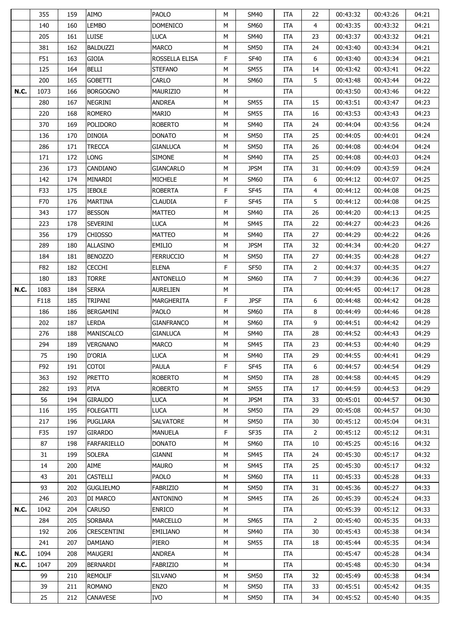|             | 355  | 159 | AIMO               | <b>PAOLO</b>      | M  | <b>SM40</b> | ITA        | 22             | 00:43:32 | 00:43:26 | 04:21 |
|-------------|------|-----|--------------------|-------------------|----|-------------|------------|----------------|----------|----------|-------|
|             | 140  | 160 | <b>LEMBO</b>       | <b>DOMENICO</b>   | М  | <b>SM60</b> | ITA        | 4              | 00:43:35 | 00:43:32 | 04:21 |
|             | 205  | 161 | <b>LUISE</b>       | <b>LUCA</b>       | М  | <b>SM40</b> | ITA        | 23             | 00:43:37 | 00:43:32 | 04:21 |
|             | 381  | 162 | <b>BALDUZZI</b>    | <b>MARCO</b>      | М  | SM50        | ITA        | 24             | 00:43:40 | 00:43:34 | 04:21 |
|             | F51  | 163 | <b>GIOIA</b>       | ROSSELLA ELISA    | F  | <b>SF40</b> | ITA        | 6              | 00:43:40 | 00:43:34 | 04:21 |
|             | 125  | 164 | <b>BELLI</b>       | <b>STEFANO</b>    | М  | <b>SM55</b> | ITA        | 14             | 00:43:42 | 00:43:41 | 04:22 |
|             | 200  | 165 | <b>GOBETTI</b>     | CARLO             | М  | <b>SM60</b> | ITA        | 5              | 00:43:48 | 00:43:44 | 04:22 |
| <b>N.C.</b> | 1073 | 166 | <b>BORGOGNO</b>    | <b>MAURIZIO</b>   | М  |             | ITA        |                | 00:43:50 | 00:43:46 | 04:22 |
|             | 280  | 167 | NEGRINI            | <b>ANDREA</b>     | М  | SM55        | ITA        | 15             | 00:43:51 | 00:43:47 | 04:23 |
|             | 220  | 168 | <b>ROMERO</b>      | <b>MARIO</b>      | М  | <b>SM55</b> | ITA        | 16             | 00:43:53 | 00:43:43 | 04:23 |
|             | 370  | 169 | <b>POLIDORO</b>    | <b>ROBERTO</b>    | М  | <b>SM40</b> | ITA        | 24             | 00:44:04 | 00:43:56 | 04:24 |
|             | 136  | 170 | <b>DINOIA</b>      | <b>DONATO</b>     | М  | <b>SM50</b> | ITA        | 25             | 00:44:05 | 00:44:01 | 04:24 |
|             | 286  | 171 | TRECCA             | <b>GIANLUCA</b>   | М  | SM50        | ITA        | 26             | 00:44:08 | 00:44:04 | 04:24 |
|             | 171  | 172 | LONG               | <b>SIMONE</b>     | М  | <b>SM40</b> | ITA        | 25             | 00:44:08 | 00:44:03 | 04:24 |
|             | 236  | 173 | CANDIANO           | <b>GIANCARLO</b>  | М  | <b>JPSM</b> | ITA        | 31             | 00:44:09 | 00:43:59 | 04:24 |
|             | 142  | 174 | MINARDI            | <b>MICHELE</b>    | М  | <b>SM60</b> | ITA        | 6              | 00:44:12 | 00:44:07 | 04:25 |
|             | F33  | 175 | <b>IEBOLE</b>      | <b>ROBERTA</b>    | F  | <b>SF45</b> | ITA        | 4              | 00:44:12 | 00:44:08 | 04:25 |
|             | F70  | 176 | <b>MARTINA</b>     | <b>CLAUDIA</b>    | F  | <b>SF45</b> | ITA        | 5              | 00:44:12 | 00:44:08 | 04:25 |
|             | 343  | 177 | <b>BESSON</b>      | <b>MATTEO</b>     | М  | <b>SM40</b> | ITA        | 26             | 00:44:20 | 00:44:13 | 04:25 |
|             | 223  | 178 | <b>SEVERINI</b>    | <b>LUCA</b>       | М  | <b>SM45</b> | ITA        | 22             | 00:44:27 | 00:44:23 | 04:26 |
|             | 356  | 179 | <b>CHIOSSO</b>     | <b>MATTEO</b>     | М  | <b>SM40</b> | ITA        | 27             | 00:44:29 | 00:44:22 | 04:26 |
|             | 289  | 180 | <b>ALLASINO</b>    | <b>EMILIO</b>     | М  | <b>JPSM</b> | ITA        | 32             | 00:44:34 | 00:44:20 | 04:27 |
|             | 184  | 181 | <b>BENOZZO</b>     | <b>FERRUCCIO</b>  | М  | SM50        | ITA        | 27             | 00:44:35 | 00:44:28 | 04:27 |
|             | F82  | 182 | <b>CECCHI</b>      | <b>ELENA</b>      | F  | <b>SF50</b> | ITA        | $\overline{2}$ | 00:44:37 | 00:44:35 | 04:27 |
|             | 180  | 183 | <b>TORRE</b>       | <b>ANTONELLO</b>  | M  | <b>SM60</b> | <b>ITA</b> | $\overline{7}$ | 00:44:39 | 00:44:36 | 04:27 |
| <b>N.C.</b> | 1083 | 184 | <b>SERKA</b>       | <b>AURELIEN</b>   | М  |             | ITA        |                | 00:44:45 | 00:44:17 | 04:28 |
|             | F118 | 185 | TRIPANI            | MARGHERITA        | F  | <b>JPSF</b> | ITA        | 6              | 00:44:48 | 00:44:42 | 04:28 |
|             | 186  | 186 | BERGAMINI          | <b>PAOLO</b>      | М  | <b>SM60</b> | ITA        | 8              | 00:44:49 | 00:44:46 | 04:28 |
|             | 202  | 187 | <b>LERDA</b>       | <b>GIANFRANCO</b> | М  | SM60        | ITA        | 9              | 00:44:51 | 00:44:42 | 04:29 |
|             | 276  | 188 | <b>MANISCALCO</b>  | <b>GIANLUCA</b>   | М  | <b>SM40</b> | ITA        | 28             | 00:44:52 | 00:44:43 | 04:29 |
|             | 294  | 189 | VERGNANO           | <b>MARCO</b>      | М  | <b>SM45</b> | ITA        | 23             | 00:44:53 | 00:44:40 | 04:29 |
|             | 75   | 190 | D'ORIA             | <b>LUCA</b>       | М  | SM40        | ITA        | 29             | 00:44:55 | 00:44:41 | 04:29 |
|             | F92  | 191 | COTOI              | PAULA             | F. | <b>SF45</b> | ITA        | 6              | 00:44:57 | 00:44:54 | 04:29 |
|             | 363  | 192 | PRETTO             | <b>ROBERTO</b>    | М  | <b>SM50</b> | ITA        | 28             | 00:44:58 | 00:44:45 | 04:29 |
|             | 282  | 193 | PIVA               | <b>ROBERTO</b>    | М  | SM55        | ITA        | 17             | 00:44:59 | 00:44:53 | 04:29 |
|             | 56   | 194 | <b>GIRAUDO</b>     | <b>LUCA</b>       | М  | <b>JPSM</b> | ITA        | 33             | 00:45:01 | 00:44:57 | 04:30 |
|             | 116  | 195 | <b>FOLEGATTI</b>   | <b>LUCA</b>       | М  | <b>SM50</b> | ITA        | 29             | 00:45:08 | 00:44:57 | 04:30 |
|             | 217  | 196 | <b>PUGLIARA</b>    | <b>SALVATORE</b>  | М  | <b>SM50</b> | ITA        | 30             | 00:45:12 | 00:45:04 | 04:31 |
|             | F35  | 197 | GIRARDO            | <b>MANUELA</b>    | F  | SF35        | ITA        | $\overline{2}$ | 00:45:12 | 00:45:12 | 04:31 |
|             | 87   | 198 | FARFARIELLO        | <b>DONATO</b>     | М  | SM60        | ITA        | 10             | 00:45:25 | 00:45:16 | 04:32 |
|             | 31   | 199 | <b>SOLERA</b>      | GIANNI            | М  | <b>SM45</b> | ITA        | 24             | 00:45:30 | 00:45:17 | 04:32 |
|             | 14   | 200 | AIME               | <b>MAURO</b>      | М  | <b>SM45</b> | ITA        | 25             | 00:45:30 | 00:45:17 | 04:32 |
|             | 43   | 201 | <b>CASTELLI</b>    | PAOLO             | М  | SM60        | ITA        | 11             | 00:45:33 | 00:45:28 | 04:33 |
|             | 93   | 202 | <b>GUGLIELMO</b>   | FABRIZIO          | М  | <b>SM50</b> | ITA        | 31             | 00:45:36 | 00:45:27 | 04:33 |
|             | 246  | 203 | DI MARCO           | <b>ANTONINO</b>   | М  | SM45        | ITA        | 26             | 00:45:39 | 00:45:24 | 04:33 |
| <b>N.C.</b> | 1042 | 204 | <b>CARUSO</b>      | <b>ENRICO</b>     | М  |             | ITA        |                | 00:45:39 | 00:45:12 | 04:33 |
|             | 284  | 205 | SORBARA            | <b>MARCELLO</b>   | М  | <b>SM65</b> | ITA        | 2              | 00:45:40 | 00:45:35 | 04:33 |
|             | 192  | 206 | <b>CRESCENTINI</b> | <b>EMILIANO</b>   | М  | SM40        | ITA        | 30             | 00:45:43 | 00:45:38 | 04:34 |
|             | 241  | 207 | DAMIANO            | PIERO             | М  | SM55        | ITA        | 18             | 00:45:44 | 00:45:35 | 04:34 |
| <b>N.C.</b> | 1094 | 208 | <b>MAUGERI</b>     | <b>ANDREA</b>     | М  |             | ITA        |                | 00:45:47 | 00:45:28 | 04:34 |
| <b>N.C.</b> | 1047 | 209 | BERNARDI           | <b>FABRIZIO</b>   | М  |             | ITA        |                | 00:45:48 | 00:45:30 | 04:34 |
|             | 99   | 210 | REMOLIF            | <b>SILVANO</b>    | М  | <b>SM50</b> | ITA        | 32             | 00:45:49 | 00:45:38 | 04:34 |
|             |      |     |                    |                   |    |             |            | 33             |          |          | 04:35 |
|             | 39   | 211 | <b>ROMANO</b>      | <b>ENZO</b>       | М  | <b>SM50</b> | ITA        |                | 00:45:51 | 00:45:42 |       |
|             | 25   | 212 | CANAVESE           | IVO               | М  | <b>SM50</b> | ITA        | 34             | 00:45:52 | 00:45:40 | 04:35 |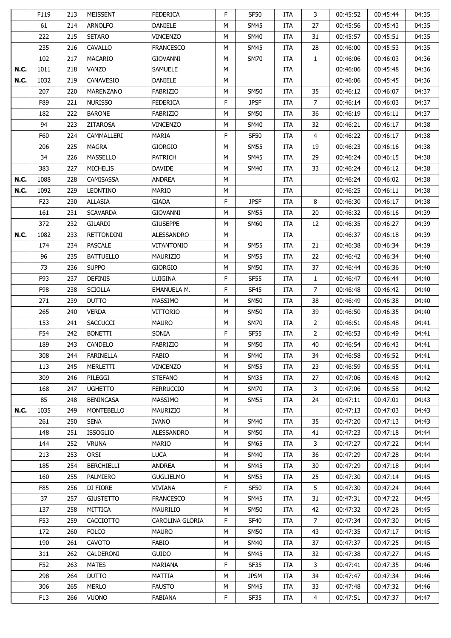|             | F119            | 213 | <b>MEISSENT</b>   | <b>FEDERICA</b>    | F  | <b>SF50</b> | ITA        | 3              | 00:45:52 | 00:45:44 | 04:35 |
|-------------|-----------------|-----|-------------------|--------------------|----|-------------|------------|----------------|----------|----------|-------|
|             | 61              | 214 | <b>ARNOLFO</b>    | <b>DANIELE</b>     | M  | <b>SM45</b> | ITA        | 27             | 00:45:56 | 00:45:43 | 04:35 |
|             | 222             | 215 | <b>SETARO</b>     | <b>VINCENZO</b>    | M  | <b>SM40</b> | ITA        | 31             | 00:45:57 | 00:45:51 | 04:35 |
|             | 235             | 216 | <b>CAVALLO</b>    | <b>FRANCESCO</b>   | М  | <b>SM45</b> | <b>ITA</b> | 28             | 00:46:00 | 00:45:53 | 04:35 |
|             | 102             | 217 | <b>MACARIO</b>    | GIOVANNI           | М  | <b>SM70</b> | <b>ITA</b> | $\mathbf{1}$   | 00:46:06 | 00:46:03 | 04:36 |
| <b>N.C.</b> | 1011            | 218 | VANZO             | <b>SAMUELE</b>     | M  |             | ITA        |                | 00:46:06 | 00:45:48 | 04:36 |
| <b>N.C.</b> | 1032            | 219 | CANAVESIO         | <b>DANIELE</b>     | М  |             | ITA        |                | 00:46:06 | 00:45:45 | 04:36 |
|             | 207             | 220 | MARENZANO         | <b>FABRIZIO</b>    | М  | SM50        | <b>ITA</b> | 35             | 00:46:12 | 00:46:07 | 04:37 |
|             | F89             | 221 | nurisso           | <b>FEDERICA</b>    | F  | <b>JPSF</b> | <b>ITA</b> | 7              | 00:46:14 | 00:46:03 | 04:37 |
|             | 182             | 222 | <b>BARONE</b>     | <b>FABRIZIO</b>    | М  | SM50        | ITA        | 36             | 00:46:19 | 00:46:11 | 04:37 |
|             | 94              | 223 | <b>ZITAROSA</b>   | <b>VINCENZO</b>    | М  | <b>SM40</b> | ITA        | 32             | 00:46:21 | 00:46:17 | 04:38 |
|             | F60             | 224 | CAMMALLERI        | <b>MARIA</b>       | F  | <b>SF50</b> | ITA        | 4              | 00:46:22 | 00:46:17 | 04:38 |
|             | 206             | 225 | MAGRA             | <b>GIORGIO</b>     | M  | SM55        | <b>ITA</b> | 19             | 00:46:23 | 00:46:16 | 04:38 |
|             | 34              | 226 | MASSELLO          | <b>PATRICH</b>     | М  | SM45        | <b>ITA</b> | 29             | 00:46:24 | 00:46:15 | 04:38 |
|             | 383             | 227 | <b>MICHELIS</b>   | <b>DAVIDE</b>      | M  | SM40        | <b>ITA</b> | 33             | 00:46:24 | 00:46:12 | 04:38 |
| <b>N.C.</b> | 1088            | 228 | CAMISASSA         | <b>ANDREA</b>      | M  |             | ITA        |                | 00:46:24 | 00:46:02 | 04:38 |
| <b>N.C.</b> | 1092            | 229 | <b>LEONTINO</b>   | <b>MARIO</b>       | М  |             | ITA        |                | 00:46:25 | 00:46:11 | 04:38 |
|             | F <sub>23</sub> | 230 | <b>ALLASIA</b>    | <b>GIADA</b>       | F  | <b>JPSF</b> | <b>ITA</b> | 8              | 00:46:30 | 00:46:17 | 04:38 |
|             | 161             | 231 | <b>SCAVARDA</b>   | GIOVANNI           | М  | <b>SM55</b> | ITA        | 20             | 00:46:32 | 00:46:16 | 04:39 |
|             | 372             | 232 | <b>GILARDI</b>    | <b>GIUSEPPE</b>    | М  | <b>SM60</b> | ITA        | 12             | 00:46:35 | 00:46:27 | 04:39 |
| N.C.        | 1082            | 233 | <b>RETTONDINI</b> | ALESSANDRO         | М  |             | ITA        |                | 00:46:37 | 00:46:18 | 04:39 |
|             | 174             |     | <b>PASCALE</b>    | <b>VITANTONIO</b>  | M  | <b>SM55</b> |            | 21             | 00:46:38 |          | 04:39 |
|             |                 | 234 |                   |                    |    |             | <b>ITA</b> |                |          | 00:46:34 |       |
|             | 96              | 235 | <b>BATTUELLO</b>  | MAURIZIO           | М  | SM55        | <b>ITA</b> | 22             | 00:46:42 | 00:46:34 | 04:40 |
|             | 73              | 236 | <b>SUPPO</b>      | <b>GIORGIO</b>     | М  | SM50        | <b>ITA</b> | 37             | 00:46:44 | 00:46:36 | 04:40 |
|             | F93             | 237 | <b>DEFINIS</b>    | LUIGINA            | F  | <b>SF55</b> | <b>ITA</b> | $\mathbf{1}$   | 00:46:47 | 00:46:44 | 04:40 |
|             | F98             | 238 | <b>SCIOLLA</b>    | <b>EMANUELA M.</b> | F  | <b>SF45</b> | ITA        | 7              | 00:46:48 | 00:46:42 | 04:40 |
|             | 271             | 239 | <b>DUTTO</b>      | <b>MASSIMO</b>     | М  | SM50        | <b>ITA</b> | 38             | 00:46:49 | 00:46:38 | 04:40 |
|             | 265             | 240 | Verda             | VITTORIO           | М  | <b>SM50</b> | <b>ITA</b> | 39             | 00:46:50 | 00:46:35 | 04:40 |
|             | 153             | 241 | <b>SACCUCCI</b>   | <b>MAURO</b>       | М  | <b>SM70</b> | <b>ITA</b> | $\overline{2}$ | 00:46:51 | 00:46:48 | 04:41 |
|             | F54             | 242 | <b>BONETTI</b>    | SONIA              | F  | SF55        | ITA        | $\overline{2}$ | 00:46:53 | 00:46:49 | 04:41 |
|             | 189             | 243 | <b>CANDELO</b>    | <b>FABRIZIO</b>    | M  | <b>SM50</b> | <b>ITA</b> | 40             | 00:46:54 | 00:46:43 | 04:41 |
|             | 308             | 244 | FARINELLA         | <b>FABIO</b>       | M  | <b>SM40</b> | ITA        | 34             | 00:46:58 | 00:46:52 | 04:41 |
|             | 113             | 245 | MERLETTI          | <b>VINCENZO</b>    | М  | <b>SM55</b> | ITA        | 23             | 00:46:59 | 00:46:55 | 04:41 |
|             | 309             | 246 | PILEGGI           | <b>STEFANO</b>     | М  | <b>SM35</b> | ITA        | 27             | 00:47:06 | 00:46:48 | 04:42 |
|             | 168             | 247 | <b>UGHETTO</b>    | <b>FERRUCCIO</b>   | М  | <b>SM70</b> | ITA        | 3              | 00:47:06 | 00:46:58 | 04:42 |
|             | 85              | 248 | <b>BENINCASA</b>  | <b>MASSIMO</b>     | М  | <b>SM55</b> | <b>ITA</b> | 24             | 00:47:11 | 00:47:01 | 04:43 |
| <b>N.C.</b> | 1035            | 249 | <b>MONTEBELLO</b> | MAURIZIO           | М  |             | ITA        |                | 00:47:13 | 00:47:03 | 04:43 |
|             | 261             | 250 | <b>SENA</b>       | <b>IVANO</b>       | М  | <b>SM40</b> | ITA        | 35             | 00:47:20 | 00:47:13 | 04:43 |
|             | 148             | 251 | <b>ISSOGLIO</b>   | <b>ALESSANDRO</b>  | М  | <b>SM50</b> | <b>ITA</b> | 41             | 00:47:23 | 00:47:18 | 04:44 |
|             | 144             | 252 | VRUNA             | <b>MARIO</b>       | М  | <b>SM65</b> | <b>ITA</b> | 3              | 00:47:27 | 00:47:22 | 04:44 |
|             | 213             | 253 | <b>ORSI</b>       | LUCA               | M  | <b>SM40</b> | ITA        | 36             | 00:47:29 | 00:47:28 | 04:44 |
|             | 185             | 254 | <b>BERCHIELLI</b> | <b>ANDREA</b>      | М  | <b>SM45</b> | ITA        | 30             | 00:47:29 | 00:47:18 | 04:44 |
|             | 160             | 255 | PALMIERO          | <b>GUGLIELMO</b>   | М  | <b>SM55</b> | <b>ITA</b> | 25             | 00:47:30 | 00:47:14 | 04:45 |
|             | F85             | 256 | DI FIORE          | VIVIANA            | F  | <b>SF50</b> | ITA        | 5              | 00:47:30 | 00:47:24 | 04:44 |
|             | 37              | 257 | <b>GIUSTETTO</b>  | <b>FRANCESCO</b>   | М  | <b>SM45</b> | <b>ITA</b> | 31             | 00:47:31 | 00:47:22 | 04:45 |
|             | 137             | 258 | MITTICA           | <b>MAURILIO</b>    | М  | <b>SM50</b> | ITA        | 42             | 00:47:32 | 00:47:28 | 04:45 |
|             | F53             | 259 | <b>CACCIOTTO</b>  | CAROLINA GLORIA    | F  | <b>SF40</b> | ITA        | $\overline{7}$ | 00:47:34 | 00:47:30 | 04:45 |
|             | 172             | 260 | <b>FOLCO</b>      | <b>MAURO</b>       | М  | <b>SM50</b> | <b>ITA</b> | 43             | 00:47:35 | 00:47:17 | 04:45 |
|             | 190             | 261 | <b>CAVOTO</b>     | FABIO              | М  | <b>SM40</b> | <b>ITA</b> | 37             | 00:47:37 | 00:47:25 | 04:45 |
|             | 311             | 262 | CALDERONI         | <b>GUIDO</b>       | М  | <b>SM45</b> | <b>ITA</b> | 32             | 00:47:38 | 00:47:27 | 04:45 |
|             | F52             | 263 | <b>MATES</b>      | MARIANA            | F. | SF35        | ITA        | 3              | 00:47:41 | 00:47:35 | 04:46 |
|             | 298             | 264 | <b>DUTTO</b>      | MATTIA             | М  | <b>JPSM</b> | <b>ITA</b> | 34             | 00:47:47 | 00:47:34 | 04:46 |
|             | 306             | 265 | <b>MERLO</b>      | <b>FAUSTO</b>      | М  | SM45        | <b>ITA</b> | 33             | 00:47:48 | 00:47:32 | 04:46 |
|             | F <sub>13</sub> | 266 | VUONO             | <b>FABIANA</b>     | F. | SF35        | ITA        | 4              | 00:47:51 | 00:47:37 | 04:47 |
|             |                 |     |                   |                    |    |             |            |                |          |          |       |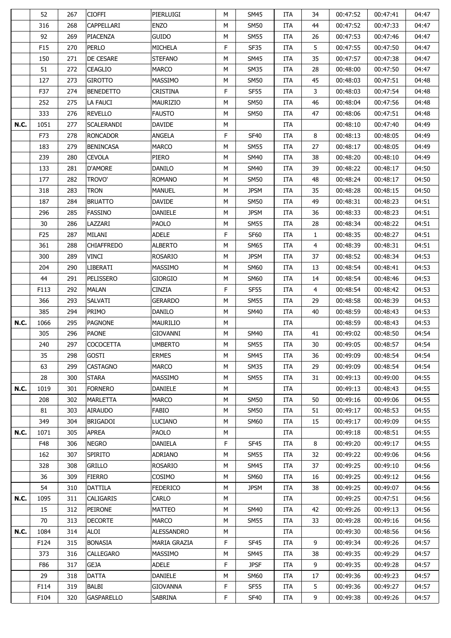|             | 52              | 267 | <b>CIOFFI</b>     | PIERLUIGI         | M  | <b>SM45</b> | ITA        | 34 | 00:47:52 | 00:47:41 | 04:47 |
|-------------|-----------------|-----|-------------------|-------------------|----|-------------|------------|----|----------|----------|-------|
|             | 316             | 268 | CAPPELLARI        | <b>ENZO</b>       | М  | <b>SM50</b> | <b>ITA</b> | 44 | 00:47:52 | 00:47:33 | 04:47 |
|             | 92              | 269 | PIACENZA          | <b>GUIDO</b>      | M  | <b>SM55</b> | ITA        | 26 | 00:47:53 | 00:47:46 | 04:47 |
|             | F15             | 270 | PERLO             | <b>MICHELA</b>    | F  | <b>SF35</b> | ITA        | 5  | 00:47:55 | 00:47:50 | 04:47 |
|             | 150             | 271 | DE CESARE         | <b>STEFANO</b>    | М  | <b>SM45</b> | ITA        | 35 | 00:47:57 | 00:47:38 | 04:47 |
|             | 51              | 272 | <b>CEAGLIO</b>    | <b>MARCO</b>      | М  | <b>SM35</b> | ITA        | 28 | 00:48:00 | 00:47:50 | 04:47 |
|             | 127             | 273 | <b>GIROTTO</b>    | <b>MASSIMO</b>    | М  | <b>SM50</b> | ITA        | 45 | 00:48:03 | 00:47:51 | 04:48 |
|             | F37             | 274 | <b>BENEDETTO</b>  | <b>CRISTINA</b>   | F  | <b>SF55</b> | ITA        | 3  | 00:48:03 | 00:47:54 | 04:48 |
|             | 252             | 275 | LA FAUCI          | <b>MAURIZIO</b>   | М  | <b>SM50</b> | ITA        | 46 | 00:48:04 | 00:47:56 | 04:48 |
|             | 333             | 276 | <b>REVELLO</b>    | <b>FAUSTO</b>     | M  | <b>SM50</b> | ITA        | 47 | 00:48:06 | 00:47:51 | 04:48 |
| <b>N.C.</b> | 1051            | 277 | <b>SCALERANDI</b> | DAVIDE            | М  |             | ITA        |    | 00:48:10 | 00:47:40 | 04:49 |
|             | F73             | 278 | <b>RONCADOR</b>   | ANGELA            | F  | <b>SF40</b> | ITA        | 8  | 00:48:13 | 00:48:05 | 04:49 |
|             | 183             | 279 | <b>BENINCASA</b>  | <b>MARCO</b>      | М  | SM55        | ITA        | 27 | 00:48:17 | 00:48:05 | 04:49 |
|             | 239             | 280 | CEVOLA            | PIERO             | М  | SM40        | ITA        | 38 | 00:48:20 | 00:48:10 | 04:49 |
|             | 133             | 281 | D'AMORE           | <b>DANILO</b>     | М  | SM40        | ITA        | 39 | 00:48:22 | 00:48:17 | 04:50 |
|             | 177             | 282 | TROVO'            | <b>ROMANO</b>     | М  | <b>SM50</b> | ITA        | 48 | 00:48:24 | 00:48:17 | 04:50 |
|             | 318             | 283 | <b>TRON</b>       | <b>MANUEL</b>     | М  | <b>JPSM</b> | ITA        | 35 | 00:48:28 | 00:48:15 | 04:50 |
|             | 187             | 284 | <b>BRUATTO</b>    | <b>DAVIDE</b>     | М  | SM50        | ITA        | 49 | 00:48:31 | 00:48:23 | 04:51 |
|             | 296             | 285 | <b>FASSINO</b>    | <b>DANIELE</b>    | М  | <b>JPSM</b> | ITA        | 36 | 00:48:33 | 00:48:23 | 04:51 |
|             | 30              | 286 | LAZZARI           | <b>PAOLO</b>      | М  | <b>SM55</b> | ITA        | 28 | 00:48:34 | 00:48:22 | 04:51 |
|             | F <sub>25</sub> | 287 | MILANI            | <b>ADELE</b>      | F  | <b>SF60</b> | ITA        | 1  | 00:48:35 | 00:48:27 | 04:51 |
|             | 361             | 288 | <b>CHIAFFREDO</b> | <b>ALBERTO</b>    | М  | SM65        | ITA        | 4  | 00:48:39 | 00:48:31 | 04:51 |
|             | 300             | 289 | VINCI             | <b>ROSARIO</b>    | М  | <b>JPSM</b> | ITA        | 37 | 00:48:52 | 00:48:34 | 04:53 |
|             | 204             | 290 | LIBERATI          | <b>MASSIMO</b>    | М  | <b>SM60</b> | ITA        | 13 | 00:48:54 | 00:48:41 | 04:53 |
|             | 44              | 291 | PELISSERO         | <b>GIORGIO</b>    | М  | <b>SM60</b> | ITA        | 14 | 00:48:54 | 00:48:46 | 04:53 |
|             | F113            | 292 | <b>MALAN</b>      | <b>CINZIA</b>     | F  | <b>SF55</b> | ITA        | 4  | 00:48:54 | 00:48:42 | 04:53 |
|             | 366             | 293 | SALVATI           | <b>GERARDO</b>    | М  | SM55        | ITA        | 29 | 00:48:58 | 00:48:39 | 04:53 |
|             | 385             | 294 | PRIMO             | <b>DANILO</b>     | М  | SM40        | ITA        | 40 | 00:48:59 | 00:48:43 | 04:53 |
| <b>N.C.</b> | 1066            | 295 | <b>PAGNONE</b>    | <b>MAURILIO</b>   | М  |             | ITA        |    | 00:48:59 | 00:48:43 | 04:53 |
|             | 305             | 296 | <b>PAONE</b>      | GIOVANNI          | М  | <b>SM40</b> | <b>ITA</b> | 41 | 00:49:02 | 00:48:50 | 04:54 |
|             | 240             | 297 | <b>COCOCETTA</b>  | <b>UMBERTO</b>    | М  | <b>SM55</b> | ITA        | 30 | 00:49:05 | 00:48:57 | 04:54 |
|             | 35              | 298 | <b>GOSTI</b>      | <b>ERMES</b>      | M  | <b>SM45</b> | ITA        | 36 | 00:49:09 | 00:48:54 | 04:54 |
|             | 63              | 299 | <b>CASTAGNO</b>   | <b>MARCO</b>      | М  | <b>SM35</b> | <b>ITA</b> | 29 | 00:49:09 | 00:48:54 | 04:54 |
|             | 28              | 300 | <b>STARA</b>      | <b>MASSIMO</b>    | М  | <b>SM55</b> | ITA        | 31 | 00:49:13 | 00:49:00 | 04:55 |
| <b>N.C.</b> | 1019            | 301 | <b>FORNERO</b>    | <b>DANIELE</b>    | М  |             | ITA        |    | 00:49:13 | 00:48:43 | 04:55 |
|             | 208             | 302 | <b>MARLETTA</b>   | <b>MARCO</b>      | М  | <b>SM50</b> | <b>ITA</b> | 50 | 00:49:16 | 00:49:06 | 04:55 |
|             | 81              | 303 | <b>AIRAUDO</b>    | <b>FABIO</b>      | М  | <b>SM50</b> | ITA        | 51 | 00:49:17 | 00:48:53 | 04:55 |
|             | 349             | 304 | <b>BRIGADOI</b>   | <b>LUCIANO</b>    | М  | <b>SM60</b> | ITA        | 15 | 00:49:17 | 00:49:09 | 04:55 |
| <b>N.C.</b> | 1071            | 305 | <b>APREA</b>      | PAOLO             | М  |             | ITA        |    | 00:49:18 | 00:48:51 | 04:55 |
|             | F48             | 306 | <b>NEGRO</b>      | DANIELA           | F. | SF45        | ITA        | 8  | 00:49:20 | 00:49:17 | 04:55 |
|             | 162             | 307 | <b>SPIRITO</b>    | <b>ADRIANO</b>    | М  | SM55        | ITA        | 32 | 00:49:22 | 00:49:06 | 04:56 |
|             | 328             | 308 | <b>GRILLO</b>     | ROSARIO           | М  | SM45        | ITA        | 37 | 00:49:25 | 00:49:10 | 04:56 |
|             | 36              | 309 | <b>FIERRO</b>     | COSIMO            | М  | <b>SM60</b> | ITA        | 16 | 00:49:25 | 00:49:12 | 04:56 |
|             | 54              | 310 | DATTILA           | <b>FEDERICO</b>   | М  | <b>JPSM</b> | ITA        | 38 | 00:49:25 | 00:49:07 | 04:56 |
| <b>N.C.</b> | 1095            |     |                   | <b>CARLO</b>      |    |             |            |    | 00:49:25 | 00:47:51 | 04:56 |
|             |                 | 311 | CALIGARIS         |                   | М  |             | ITA        |    |          |          |       |
|             | 15              | 312 | <b>PEIRONE</b>    | <b>MATTEO</b>     | М  | <b>SM40</b> | ITA        | 42 | 00:49:26 | 00:49:13 | 04:56 |
|             | 70              | 313 | <b>DECORTE</b>    | <b>MARCO</b>      | М  | <b>SM55</b> | ITA        | 33 | 00:49:28 | 00:49:16 | 04:56 |
| <b>N.C.</b> | 1084            | 314 | ALOI              | <b>ALESSANDRO</b> | М  |             | ITA        |    | 00:49:30 | 00:48:56 | 04:56 |
|             | F124            | 315 | <b>BONASIA</b>    | MARIA GRAZIA      | F  | SF45        | ITA        | 9  | 00:49:34 | 00:49:26 | 04:57 |
|             | 373             | 316 | CALLEGARO         | MASSIMO           | М  | <b>SM45</b> | ITA        | 38 | 00:49:35 | 00:49:29 | 04:57 |
|             | F86             | 317 | <b>GEJA</b>       | <b>ADELE</b>      | F. | <b>JPSF</b> | ITA        | 9  | 00:49:35 | 00:49:28 | 04:57 |
|             | 29              | 318 | DATTA             | <b>DANIELE</b>    | М  | <b>SM60</b> | ITA        | 17 | 00:49:36 | 00:49:23 | 04:57 |
|             | F114            | 319 | BALBI             | <b>GIOVANNA</b>   | F  | <b>SF55</b> | ITA        | 5  | 00:49:36 | 00:49:27 | 04:57 |
|             | F104            | 320 | <b>GASPARELLO</b> | SABRINA           | F  | SF40        | ITA        | 9  | 00:49:38 | 00:49:26 | 04:57 |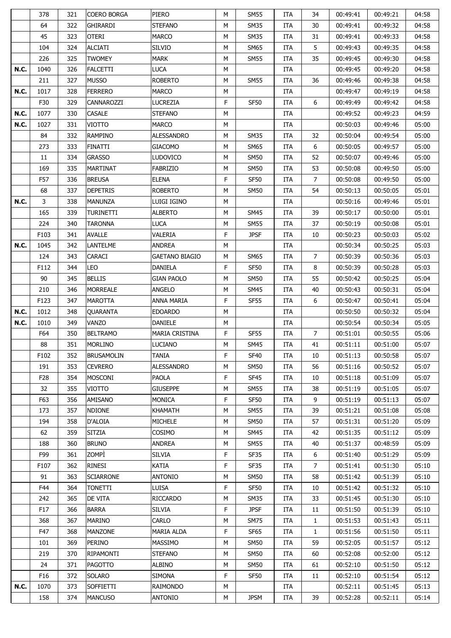|             | 378             | 321 | COERO BORGA       | <b>PIERO</b>          | M | SM55        | ITA        | 34             | 00:49:41 | 00:49:21 | 04:58 |
|-------------|-----------------|-----|-------------------|-----------------------|---|-------------|------------|----------------|----------|----------|-------|
|             | 64              | 322 | <b>GHIRARDI</b>   | <b>STEFANO</b>        | М | <b>SM35</b> | <b>ITA</b> | 30             | 00:49:41 | 00:49:32 | 04:58 |
|             | 45              | 323 | <b>OTERI</b>      | <b>MARCO</b>          | М | <b>SM35</b> | ITA        | 31             | 00:49:41 | 00:49:33 | 04:58 |
|             | 104             | 324 | ALCIATI           | <b>SILVIO</b>         | М | SM65        | ITA        | 5              | 00:49:43 | 00:49:35 | 04:58 |
|             | 226             | 325 | TWOMEY            | <b>MARK</b>           | М | <b>SM55</b> | ITA        | 35             | 00:49:45 | 00:49:30 | 04:58 |
| <b>N.C.</b> | 1040            | 326 | <b>FALCETTI</b>   | <b>LUCA</b>           | M |             | ITA        |                | 00:49:45 | 00:49:20 | 04:58 |
|             | 211             | 327 | <b>MUSSO</b>      | <b>ROBERTO</b>        | М | SM55        | ITA        | 36             | 00:49:46 | 00:49:38 | 04:58 |
| <b>N.C.</b> | 1017            | 328 | <b>FERRERO</b>    | <b>MARCO</b>          | М |             | ITA        |                | 00:49:47 | 00:49:19 | 04:58 |
|             | F30             | 329 | CANNAROZZI        | LUCREZIA              | F | SF50        | ITA        | 6              | 00:49:49 | 00:49:42 | 04:58 |
| <b>N.C.</b> | 1077            | 330 | <b>CASALE</b>     | <b>STEFANO</b>        | М |             | ITA        |                | 00:49:52 | 00:49:23 | 04:59 |
| <b>N.C.</b> | 1027            | 331 | <b>VIOTTO</b>     | <b>MARCO</b>          | M |             | ITA        |                | 00:50:03 | 00:49:46 | 05:00 |
|             | 84              | 332 | <b>RAMPINO</b>    | <b>ALESSANDRO</b>     | М | <b>SM35</b> | ITA        | 32             | 00:50:04 | 00:49:54 | 05:00 |
|             | 273             | 333 | FINATTI           | <b>GIACOMO</b>        | М | <b>SM65</b> | ITA        | 6              | 00:50:05 | 00:49:57 | 05:00 |
|             | 11              | 334 | GRASSO            | LUDOVICO              | М | SM50        | ITA        | 52             | 00:50:07 | 00:49:46 | 05:00 |
|             | 169             | 335 | <b>MARTINAT</b>   | <b>FABRIZIO</b>       | М | <b>SM50</b> | ITA        | 53             | 00:50:08 | 00:49:50 | 05:00 |
|             | F57             | 336 | <b>BREUSA</b>     | <b>ELENA</b>          | F | <b>SF50</b> | ITA        | $\overline{7}$ | 00:50:08 | 00:49:50 | 05:00 |
|             | 68              | 337 | <b>DEPETRIS</b>   | <b>ROBERTO</b>        | М | SM50        | ITA        | 54             | 00:50:13 | 00:50:05 | 05:01 |
| <b>N.C.</b> | 3               | 338 | MANUNZA           | luigi igino           | M |             | ITA        |                | 00:50:16 | 00:49:46 | 05:01 |
|             |                 | 339 |                   | <b>ALBERTO</b>        |   |             |            | 39             | 00:50:17 |          | 05:01 |
|             | 165             |     | TURINETTI         |                       | М | SM45        | ITA        |                |          | 00:50:00 |       |
|             | 224             | 340 | <b>TARONNA</b>    | <b>LUCA</b>           | М | SM55        | ITA        | 37             | 00:50:19 | 00:50:08 | 05:01 |
|             | F103            | 341 | AVALLE            | VALERIA               | F | <b>JPSF</b> | ITA        | 10             | 00:50:23 | 00:50:03 | 05:02 |
| <b>N.C.</b> | 1045            | 342 | <b>LANTELME</b>   | ANDREA                | M |             | ITA        |                | 00:50:34 | 00:50:25 | 05:03 |
|             | 124             | 343 | CARACI            | <b>GAETANO BIAGIO</b> | М | SM65        | ITA        | $\overline{7}$ | 00:50:39 | 00:50:36 | 05:03 |
|             | F112            | 344 | LEO               | DANIELA               | F | <b>SF50</b> | ITA        | 8              | 00:50:39 | 00:50:28 | 05:03 |
|             | 90              | 345 | <b>BELLIS</b>     | <b>GIAN PAOLO</b>     | M | <b>SM50</b> | ITA        | 55             | 00:50:42 | 00:50:25 | 05:04 |
|             | 210             | 346 | <b>MORREALE</b>   | ANGELO                | М | SM45        | ITA        | 40             | 00:50:43 | 00:50:31 | 05:04 |
|             | F123            | 347 | <b>MAROTTA</b>    | <b>ANNA MARIA</b>     | F | SF55        | ITA        | 6              | 00:50:47 | 00:50:41 | 05:04 |
| <b>N.C.</b> | 1012            | 348 | <b>QUARANTA</b>   | <b>EDOARDO</b>        | М |             | ITA        |                | 00:50:50 | 00:50:32 | 05:04 |
| N.C.        | 1010            | 349 | VANZO             | <b>DANIELE</b>        | М |             | ITA        |                | 00:50:54 | 00:50:34 | 05:05 |
|             | F64             | 350 | <b>BELTRAMO</b>   | <b>MARIA CRISTINA</b> | F | <b>SF55</b> | ITA        | $\overline{7}$ | 00:51:01 | 00:50:55 | 05:06 |
|             | 88              | 351 | <b>MORLINO</b>    | <b>LUCIANO</b>        | M | <b>SM45</b> | ITA        | 41             | 00:51:11 | 00:51:00 | 05:07 |
|             | F102            | 352 | <b>BRUSAMOLIN</b> | <b>TANIA</b>          | F | <b>SF40</b> | <b>ITA</b> | 10             | 00:51:13 | 00:50:58 | 05:07 |
|             | 191             | 353 | <b>CEVRERO</b>    | <b>ALESSANDRO</b>     | M | <b>SM50</b> | <b>ITA</b> | 56             | 00:51:16 | 00:50:52 | 05:07 |
|             | F <sub>28</sub> | 354 | MOSCONI           | PAOLA                 | F | SF45        | ITA        | 10             | 00:51:18 | 00:51:09 | 05:07 |
|             | 32              | 355 | VIOTTO            | <b>GIUSEPPE</b>       | М | SM55        | ITA        | 38             | 00:51:19 | 00:51:05 | 05:07 |
|             | F63             | 356 | AMISANO           | <b>MONICA</b>         | F | <b>SF50</b> | ITA        | 9              | 00:51:19 | 00:51:13 | 05:07 |
|             | 173             | 357 | <b>NDIONE</b>     | <b>KHAMATH</b>        | М | <b>SM55</b> | ITA        | 39             | 00:51:21 | 00:51:08 | 05:08 |
|             | 194             | 358 | D'ALOIA           | <b>MICHELE</b>        | М | <b>SM50</b> | ITA        | 57             | 00:51:31 | 00:51:20 | 05:09 |
|             | 62              | 359 | <b>SITZIA</b>     | <b>COSIMO</b>         | М | SM45        | ITA        | 42             | 00:51:35 | 00:51:12 | 05:09 |
|             | 188             | 360 | <b>BRUNO</b>      | <b>ANDREA</b>         | М | SM55        | ITA        | 40             | 00:51:37 | 00:48:59 | 05:09 |
|             | F99             | 361 | ZOMPÌ             | SILVIA                | F | SF35        | ITA        | 6              | 00:51:40 | 00:51:29 | 05:09 |
|             | F107            | 362 | RINESI            | KATIA                 | F | SF35        | <b>ITA</b> | $\overline{7}$ | 00:51:41 | 00:51:30 | 05:10 |
|             | 91              | 363 | <b>SCIARRONE</b>  | <b>ANTONIO</b>        | М | <b>SM50</b> | ITA        | 58             | 00:51:42 | 00:51:39 | 05:10 |
|             | F44             | 364 | <b>TONETTI</b>    | LUISA                 | F | SF50        | ITA        | 10             | 00:51:42 | 00:51:32 | 05:10 |
|             | 242             | 365 | DE VITA           | <b>RICCARDO</b>       | М | <b>SM35</b> | ITA        | 33             | 00:51:45 | 00:51:30 | 05:10 |
|             | F17             | 366 | <b>BARRA</b>      | <b>SILVIA</b>         | F | <b>JPSF</b> | ITA        | 11             | 00:51:50 | 00:51:39 | 05:10 |
|             | 368             | 367 | <b>MARINO</b>     | <b>CARLO</b>          | М | <b>SM75</b> | ITA        | $\mathbf{1}$   | 00:51:53 | 00:51:43 | 05:11 |
|             | F47             | 368 | <b>MANZONE</b>    | MARIA ALDA            | F | SF65        | ITA        | $\mathbf{1}$   | 00:51:56 | 00:51:50 | 05:11 |
|             | 101             | 369 | <b>PERINO</b>     | <b>MASSIMO</b>        | М | SM50        | ITA        | 59             | 00:52:05 | 00:51:57 | 05:12 |
|             | 219             | 370 | RIPAMONTI         | <b>STEFANO</b>        | М | <b>SM50</b> | ITA        | 60             | 00:52:08 | 00:52:00 | 05:12 |
|             | 24              | 371 | <b>PAGOTTO</b>    | <b>ALBINO</b>         | М | <b>SM50</b> | ITA        | 61             | 00:52:10 | 00:51:50 | 05:12 |
|             | F16             | 372 | SOLARO            | SIMONA                | F | SF50        | ITA        | 11             | 00:52:10 | 00:51:54 | 05:12 |
| <b>N.C.</b> | 1070            | 373 | <b>SOFFIETTI</b>  | <b>RAIMONDO</b>       | М |             | ITA        |                | 00:52:11 | 00:51:45 | 05:13 |
|             |                 |     |                   |                       |   |             |            |                |          |          |       |
|             | 158             | 374 | <b>MANCUSO</b>    | <b>ANTONIO</b>        | М | <b>JPSM</b> | ITA        | 39             | 00:52:28 | 00:52:11 | 05:14 |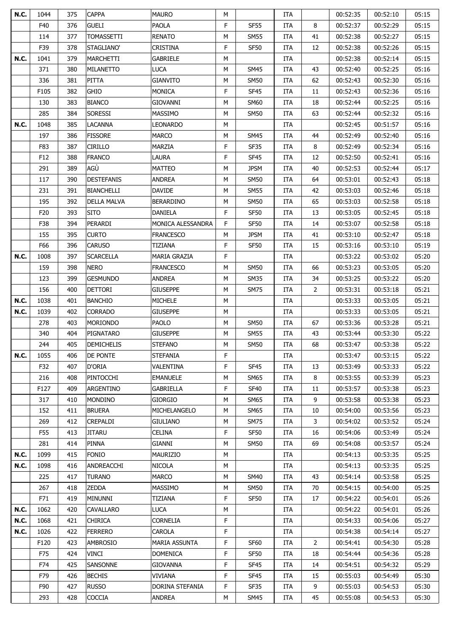| <b>N.C.</b> | 1044            | 375 | <b>CAPPA</b>       | <b>MAURO</b>         | M |                     | ITA        |              | 00:52:35 | 00:52:10 | 05:15 |
|-------------|-----------------|-----|--------------------|----------------------|---|---------------------|------------|--------------|----------|----------|-------|
|             | F40             | 376 | <b>GUELI</b>       | PAOLA                | F | <b>SF55</b>         | ITA        | 8            | 00:52:37 | 00:52:29 | 05:15 |
|             | 114             | 377 | <b>TOMASSETTI</b>  | <b>RENATO</b>        | M | <b>SM55</b>         | ITA        | 41           | 00:52:38 | 00:52:27 | 05:15 |
|             | F39             | 378 | STAGLIANO'         | <b>CRISTINA</b>      | F | <b>SF50</b>         | ITA        | 12           | 00:52:38 | 00:52:26 | 05:15 |
| <b>N.C.</b> | 1041            | 379 | <b>MARCHETTI</b>   | GABRIELE             | M |                     | ITA        |              | 00:52:38 | 00:52:14 | 05:15 |
|             | 371             | 380 | MILANETTO          | <b>LUCA</b>          | M | <b>SM45</b>         | ITA        | 43           | 00:52:40 | 00:52:25 | 05:16 |
|             | 336             | 381 | PITTA              | <b>GIANVITO</b>      | M | <b>SM50</b>         | ITA        | 62           | 00:52:43 | 00:52:30 | 05:16 |
|             | F105            | 382 | <b>GHIO</b>        | <b>MONICA</b>        | F | SF45                | ITA        | 11           | 00:52:43 | 00:52:36 | 05:16 |
|             | 130             | 383 | <b>BIANCO</b>      | <b>GIOVANNI</b>      | M | <b>SM60</b>         | <b>ITA</b> | 18           | 00:52:44 | 00:52:25 | 05:16 |
|             | 285             | 384 | <b>SORESSI</b>     | MASSIMO              | M | <b>SM50</b>         | ITA        | 63           | 00:52:44 | 00:52:32 | 05:16 |
| <b>N.C.</b> | 1048            | 385 | <b>LACANNA</b>     | <b>LEONARDO</b>      | M |                     | ITA        |              | 00:52:45 | 00:51:57 | 05:16 |
|             | 197             | 386 | <b>FISSORE</b>     | <b>MARCO</b>         | М | <b>SM45</b>         | <b>ITA</b> | 44           | 00:52:49 | 00:52:40 | 05:16 |
|             | F83             | 387 | <b>CIRILLO</b>     | MARZIA               | F | SF35                | ITA        | 8            | 00:52:49 | 00:52:34 | 05:16 |
|             | F12             | 388 | <b>FRANCO</b>      | LAURA                | F | <b>SF45</b>         | <b>ITA</b> | 12           | 00:52:50 | 00:52:41 | 05:16 |
|             | 291             | 389 | AGÙ                | <b>MATTEO</b>        | M | <b>JPSM</b>         | ITA        | 40           | 00:52:53 | 00:52:44 | 05:17 |
|             | 117             | 390 | <b>DESTEFANIS</b>  | ANDREA               | M | <b>SM50</b>         | ITA        | 64           | 00:53:01 | 00:52:43 | 05:18 |
|             | 231             | 391 | <b>BIANCHELLI</b>  | <b>DAVIDE</b>        | M | <b>SM55</b>         | ITA        | 42           | 00:53:03 | 00:52:46 | 05:18 |
|             | 195             | 392 | <b>DELLA MALVA</b> | <b>BERARDINO</b>     | M | <b>SM50</b>         | ITA        | 65           | 00:53:03 | 00:52:58 | 05:18 |
|             | F <sub>20</sub> | 393 | <b>SITO</b>        | <b>DANIELA</b>       | F | <b>SF50</b>         | <b>ITA</b> | 13           | 00:53:05 | 00:52:45 | 05:18 |
|             | F38             | 394 | PERARDI            | MONICA ALESSANDRA    | F | SF50                | ITA        | 14           | 00:53:07 | 00:52:58 | 05:18 |
|             | 155             | 395 | <b>CURTO</b>       | <b>FRANCESCO</b>     | M | <b>JPSM</b>         | <b>ITA</b> | 41           | 00:53:10 | 00:52:47 | 05:18 |
|             | F66             | 396 | <b>CARUSO</b>      | TIZIANA              | F | SF <sub>50</sub>    | <b>ITA</b> | 15           | 00:53:16 | 00:53:10 | 05:19 |
| N.C.        | 1008            | 397 | SCARCELLA          | MARIA GRAZIA         | F |                     | <b>ITA</b> |              | 00:53:22 | 00:53:02 | 05:20 |
|             | 159             | 398 | <b>NERO</b>        | <b>FRANCESCO</b>     | M | <b>SM50</b>         | ITA        | 66           | 00:53:23 | 00:53:05 | 05:20 |
|             | 123             | 399 | <b>GESMUNDO</b>    | <b>ANDREA</b>        | M | <b>SM35</b>         | ITA        | 34           | 00:53:25 | 00:53:22 | 05:20 |
|             | 156             | 400 | <b>DETTORI</b>     | <b>GIUSEPPE</b>      | M | <b>SM75</b>         | ITA        | $\mathbf{2}$ | 00:53:31 | 00:53:18 | 05:21 |
| <b>N.C.</b> | 1038            | 401 | <b>BANCHIO</b>     | <b>MICHELE</b>       | M |                     | ITA        |              | 00:53:33 | 00:53:05 | 05:21 |
| N.C.        | 1039            | 402 | CORRADO            | <b>GIUSEPPE</b>      | М |                     | <b>ITA</b> |              | 00:53:33 | 00:53:05 | 05:21 |
|             | 278             | 403 | <b>MORIONDO</b>    | PAOLO                | M | <b>SM50</b>         | ITA        | 67           | 00:53:36 | 00:53:28 | 05:21 |
|             | 340             | 404 | PIGNATARO          | <b>GIUSEPPE</b>      | M | <b>SM55</b>         | ITA        | 43           | 00:53:44 | 00:53:30 | 05:22 |
|             | 244             | 405 | <b>DEMICHELIS</b>  | <b>STEFANO</b>       | M | <b>SM50</b>         | <b>ITA</b> | 68           | 00:53:47 | 00:53:38 | 05:22 |
| <b>N.C.</b> | 1055            | 406 | <b>DE PONTE</b>    | <b>STEFANIA</b>      | F |                     | ITA        |              | 00:53:47 | 00:53:15 | 05:22 |
|             | F32             | 407 | D'ORIA             | VALENTINA            | F | <b>SF45</b>         | ITA        | 13           | 00:53:49 | 00:53:33 | 05:22 |
|             |                 |     | PINTOCCHI          | <b>EMANUELE</b>      | M |                     |            | 8            |          |          | 05:23 |
|             | 216<br>F127     | 408 |                    | GABRIELLA            | F | SM65<br><b>SF40</b> | <b>ITA</b> |              | 00:53:55 | 00:53:39 | 05:23 |
|             |                 | 409 | ARGENTINO          |                      |   |                     | <b>ITA</b> | 11<br>9      | 00:53:57 | 00:53:38 |       |
|             | 317             | 410 | <b>MONDINO</b>     | <b>GIORGIO</b>       | M | <b>SM65</b>         | ITA        |              | 00:53:58 | 00:53:38 | 05:23 |
|             | 152             | 411 | <b>BRUERA</b>      | MICHELANGELO         | М | <b>SM65</b>         | ITA        | 10           | 00:54:00 | 00:53:56 | 05:23 |
|             | 269             | 412 | CREPALDI           | <b>GIULIANO</b>      | М | <b>SM75</b>         | ITA        | 3            | 00:54:02 | 00:53:52 | 05:24 |
|             | F55             | 413 | <b>JITARU</b>      | CELINA               | F | SF50                | ITA        | 16           | 00:54:06 | 00:53:49 | 05:24 |
|             | 281             | 414 | PINNA              | <b>GIANNI</b>        | М | SM50                | <b>ITA</b> | 69           | 00:54:08 | 00:53:57 | 05:24 |
| <b>N.C.</b> | 1099            | 415 | <b>FONIO</b>       | MAURIZIO             | М |                     | ITA        |              | 00:54:13 | 00:53:35 | 05:25 |
| <b>N.C.</b> | 1098            | 416 | ANDREACCHI         | NICOLA               | М |                     | ITA        |              | 00:54:13 | 00:53:35 | 05:25 |
|             | 225             | 417 | <b>TURANO</b>      | <b>MARCO</b>         | М | <b>SM40</b>         | <b>ITA</b> | 43           | 00:54:14 | 00:53:58 | 05:25 |
|             | 267             | 418 | ZEDDA              | <b>MASSIMO</b>       | М | SM50                | <b>ITA</b> | 70           | 00:54:15 | 00:54:00 | 05:25 |
|             | F71             | 419 | MINUNNI            | TIZIANA              | F | <b>SF50</b>         | <b>ITA</b> | 17           | 00:54:22 | 00:54:01 | 05:26 |
| <b>N.C.</b> | 1062            | 420 | CAVALLARO          | <b>LUCA</b>          | M |                     | ITA        |              | 00:54:22 | 00:54:01 | 05:26 |
| <b>N.C.</b> | 1068            | 421 | Chirica            | <b>CORNELIA</b>      | F |                     | ITA        |              | 00:54:33 | 00:54:06 | 05:27 |
| <b>N.C.</b> | 1026            | 422 | <b>FERRERO</b>     | CAROLA               | F |                     | ITA        |              | 00:54:38 | 00:54:14 | 05:27 |
|             | F120            | 423 | AMBROSIO           | <b>MARIA ASSUNTA</b> | F | <b>SF60</b>         | <b>ITA</b> | 2            | 00:54:41 | 00:54:30 | 05:28 |
|             | F75             | 424 | VINCI              | <b>DOMENICA</b>      | F | <b>SF50</b>         | <b>ITA</b> | 18           | 00:54:44 | 00:54:36 | 05:28 |
|             | F74             | 425 | SANSONNE           | <b>GIOVANNA</b>      | F | SF45                | <b>ITA</b> | 14           | 00:54:51 | 00:54:32 | 05:29 |
|             | F79             | 426 | <b>BECHIS</b>      | VIVIANA              | F | SF <sub>45</sub>    | ITA        | 15           | 00:55:03 | 00:54:49 | 05:30 |
|             | F90             | 427 | <b>RUSSO</b>       | DORINA STEFANIA      | F | SF35                | <b>ITA</b> | 9            | 00:55:03 | 00:54:53 | 05:30 |
|             | 293             | 428 | COCCIA             | ANDREA               | М | SM45                | ITA        | 45           | 00:55:08 | 00:54:53 | 05:30 |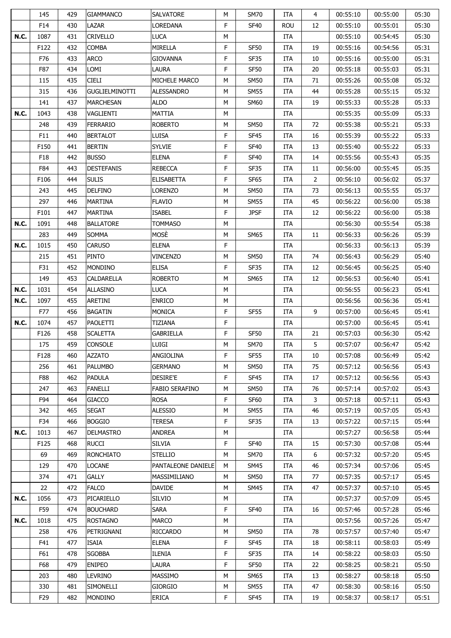|             | 145             | 429 | <b>GIAMMANCO</b>      | <b>SALVATORE</b>      | M | <b>SM70</b>      | ITA        | $\overline{4}$ | 00:55:10 | 00:55:00 | 05:30 |
|-------------|-----------------|-----|-----------------------|-----------------------|---|------------------|------------|----------------|----------|----------|-------|
|             | F14             | 430 | LAZAR                 | LOREDANA              | F | <b>SF40</b>      | <b>ROU</b> | 12             | 00:55:10 | 00:55:01 | 05:30 |
| <b>N.C.</b> | 1087            | 431 | <b>CRIVELLO</b>       | <b>LUCA</b>           | M |                  | ITA        |                | 00:55:10 | 00:54:45 | 05:30 |
|             | F122            | 432 | <b>COMBA</b>          | MIRELLA               | F | <b>SF50</b>      | ITA        | 19             | 00:55:16 | 00:54:56 | 05:31 |
|             | F76             | 433 | <b>ARCO</b>           | <b>GIOVANNA</b>       | F | <b>SF35</b>      | ITA        | 10             | 00:55:16 | 00:55:00 | 05:31 |
|             | F87             | 434 | LOMI                  | LAURA                 | F | <b>SF50</b>      | ITA        | 20             | 00:55:18 | 00:55:03 | 05:31 |
|             | 115             | 435 | <b>CIELI</b>          | MICHELE MARCO         | М | <b>SM50</b>      | ITA        | 71             | 00:55:26 | 00:55:08 | 05:32 |
|             | 315             | 436 | <b>GUGLIELMINOTTI</b> | <b>ALESSANDRO</b>     | M | <b>SM55</b>      | ITA        | 44             | 00:55:28 | 00:55:15 | 05:32 |
|             | 141             | 437 | MARCHESAN             | ALDO                  | М | SM60             | <b>ITA</b> | 19             | 00:55:33 | 00:55:28 | 05:33 |
| <b>N.C.</b> | 1043            | 438 | VAGLIENTI             | MATTIA                | M |                  | ITA        |                | 00:55:35 | 00:55:09 | 05:33 |
|             | 248             | 439 | <b>FERRARIO</b>       | <b>ROBERTO</b>        | М | <b>SM50</b>      | ITA        | 72             | 00:55:38 | 00:55:21 | 05:33 |
|             | F11             | 440 | <b>BERTALOT</b>       | LUISA                 | F | <b>SF45</b>      | <b>ITA</b> | 16             | 00:55:39 | 00:55:22 | 05:33 |
|             | F150            | 441 | <b>BERTIN</b>         | <b>SYLVIE</b>         | F | <b>SF40</b>      | <b>ITA</b> | 13             | 00:55:40 | 00:55:22 | 05:33 |
|             | F18             | 442 | <b>BUSSO</b>          | <b>ELENA</b>          | F | <b>SF40</b>      | <b>ITA</b> | 14             | 00:55:56 | 00:55:43 | 05:35 |
|             | F84             | 443 | <b>DESTEFANIS</b>     | <b>REBECCA</b>        | F | SF35             | ITA        | 11             | 00:56:00 | 00:55:45 | 05:35 |
|             | F106            | 444 | <b>SULIS</b>          | <b>ELISABETTA</b>     | F | <b>SF65</b>      | ITA        | 2              | 00:56:10 | 00:56:02 | 05:37 |
|             | 243             | 445 | <b>DELFINO</b>        | <b>LORENZO</b>        | М | <b>SM50</b>      | ITA        | 73             | 00:56:13 | 00:55:55 | 05:37 |
|             | 297             | 446 | <b>MARTINA</b>        | <b>FLAVIO</b>         | М | <b>SM55</b>      | <b>ITA</b> | 45             | 00:56:22 | 00:56:00 | 05:38 |
|             | F101            | 447 | MARTINA               | <b>ISABEL</b>         | F | <b>JPSF</b>      | <b>ITA</b> | 12             | 00:56:22 | 00:56:00 | 05:38 |
| <b>N.C.</b> | 1091            | 448 | <b>BALLATORE</b>      | <b>TOMMASO</b>        | M |                  | ITA        |                | 00:56:30 | 00:55:54 | 05:38 |
|             | 283             | 449 | <b>SOMMA</b>          | MOSÈ                  | M | SM65             | <b>ITA</b> | 11             | 00:56:33 | 00:56:26 | 05:39 |
| <b>N.C.</b> | 1015            | 450 | <b>CARUSO</b>         | <b>ELENA</b>          | F |                  | ITA        |                | 00:56:33 | 00:56:13 | 05:39 |
|             | 215             | 451 | <b>PINTO</b>          | <b>VINCENZO</b>       | M | SM50             | <b>ITA</b> | 74             | 00:56:43 | 00:56:29 | 05:40 |
|             | F31             | 452 | <b>MONDINO</b>        | <b>ELISA</b>          | F | SF35             | ITA        | 12             | 00:56:45 | 00:56:25 | 05:40 |
|             | 149             | 453 | CALDARELLA            | <b>ROBERTO</b>        | M | <b>SM65</b>      | ITA        | 12             | 00:56:53 | 00:56:40 | 05:41 |
| N.C.        | 1031            | 454 | <b>ALLASINO</b>       | <b>LUCA</b>           | M |                  | ITA        |                | 00:56:55 | 00:56:23 | 05:41 |
| <b>N.C.</b> | 1097            | 455 | ARETINI               | <b>ENRICO</b>         | М |                  | ITA        |                | 00:56:56 | 00:56:36 | 05:41 |
|             | F77             | 456 | BAGATIN               | <b>MONICA</b>         | F | <b>SF55</b>      | <b>ITA</b> | 9              | 00:57:00 | 00:56:45 | 05:41 |
| <b>N.C.</b> | 1074            | 457 | PAOLETTI              | <b>TIZIANA</b>        | F |                  | <b>ITA</b> |                | 00:57:00 | 00:56:45 | 05:41 |
|             | F126            | 458 | <b>SCALETTA</b>       | GABRIELLA             | F | SF50             | ITA        | 21             | 00:57:03 | 00:56:30 | 05:42 |
|             | 175             | 459 | <b>CONSOLE</b>        | LUIGI                 | M | <b>SM70</b>      | <b>ITA</b> | 5              | 00:57:07 | 00:56:47 | 05:42 |
|             | F128            | 460 | <b>AZZATO</b>         | ANGIOLINA             | F | <b>SF55</b>      | ITA        | 10             | 00:57:08 | 00:56:49 | 05:42 |
|             | 256             | 461 | <b>PALUMBO</b>        | <b>GERMANO</b>        | M | <b>SM50</b>      | ITA        | 75             | 00:57:12 | 00:56:56 | 05:43 |
|             | F88             | 462 | <b>PADULA</b>         | DESIRE'E              | F | SF45             | ITA        | 17             | 00:57:12 | 00:56:56 | 05:43 |
|             | 247             | 463 | FANELLI               | <b>FABIO SERAFINO</b> | M | SM50             | <b>ITA</b> | 76             | 00:57:14 | 00:57:02 | 05:43 |
|             | F94             | 464 | <b>GIACCO</b>         | <b>ROSA</b>           | F | <b>SF60</b>      | <b>ITA</b> | 3              | 00:57:18 | 00:57:11 | 05:43 |
|             | 342             | 465 | <b>SEGAT</b>          | <b>ALESSIO</b>        | М | <b>SM55</b>      | ITA        | 46             | 00:57:19 | 00:57:05 | 05:43 |
|             | F34             | 466 | <b>BOGGIO</b>         | <b>TERESA</b>         | F | SF35             | ITA        | 13             | 00:57:22 | 00:57:15 | 05:44 |
| <b>N.C.</b> | 1013            | 467 | <b>DELMASTRO</b>      | ANDREA                | M |                  | ITA        |                | 00:57:27 | 00:56:58 | 05:44 |
|             | F125            | 468 | <b>RUCCI</b>          | SILVIA                | F | <b>SF40</b>      | <b>ITA</b> | 15             | 00:57:30 | 00:57:08 | 05:44 |
|             | 69              | 469 | <b>RONCHIATO</b>      | <b>STELLIO</b>        | М | SM70             | <b>ITA</b> | 6              | 00:57:32 | 00:57:20 | 05:45 |
|             | 129             | 470 | LOCANE                | PANTALEONE DANIELE    | М | SM45             | ITA        | 46             | 00:57:34 | 00:57:06 | 05:45 |
|             | 374             | 471 | <b>GALLY</b>          | MASSIMILIANO          | М | <b>SM50</b>      | <b>ITA</b> | 77             | 00:57:35 | 00:57:17 | 05:45 |
|             | 22              | 472 | <b>FALCO</b>          | <b>DAVIDE</b>         | М | SM45             | <b>ITA</b> | 47             | 00:57:37 | 00:57:10 | 05:45 |
| <b>N.C.</b> | 1056            | 473 | PICARIELLO            | <b>SILVIO</b>         | М |                  | ITA        |                | 00:57:37 | 00:57:09 | 05:45 |
|             | F59             | 474 | <b>BOUCHARD</b>       | <b>SARA</b>           | F | <b>SF40</b>      | ITA        | 16             | 00:57:46 | 00:57:28 | 05:46 |
| <b>N.C.</b> | 1018            | 475 | <b>ROSTAGNO</b>       | <b>MARCO</b>          | М |                  | ITA        |                | 00:57:56 | 00:57:26 | 05:47 |
|             | 258             | 476 | PETRIGNANI            | <b>RICCARDO</b>       | М | <b>SM50</b>      | ITA        | 78             | 00:57:57 | 00:57:40 | 05:47 |
|             | F41             | 477 | ISAIA                 | <b>ELENA</b>          | F | SF <sub>45</sub> | ITA        | 18             | 00:58:11 | 00:58:03 | 05:49 |
|             | F61             | 478 | <b>SGOBBA</b>         | <b>ILENIA</b>         | F | SF35             | <b>ITA</b> | 14             | 00:58:22 | 00:58:03 | 05:50 |
|             | F68             | 479 | <b>ENIPEO</b>         | LAURA                 | F | <b>SF50</b>      | <b>ITA</b> | 22             | 00:58:25 | 00:58:21 | 05:50 |
|             | 203             | 480 | LEVRINO               | <b>MASSIMO</b>        | М | SM65             | ITA        | 13             | 00:58:27 | 00:58:18 | 05:50 |
|             |                 |     |                       |                       |   |                  |            |                |          |          |       |
|             | 330             | 481 | SIMONELLI             | <b>GIORGIO</b>        | М | SM55             | ITA        | 47             | 00:58:30 | 00:58:16 | 05:50 |
|             | F <sub>29</sub> | 482 | <b>MONDINO</b>        | <b>ERICA</b>          | F | SF <sub>45</sub> | ITA        | 19             | 00:58:37 | 00:58:17 | 05:51 |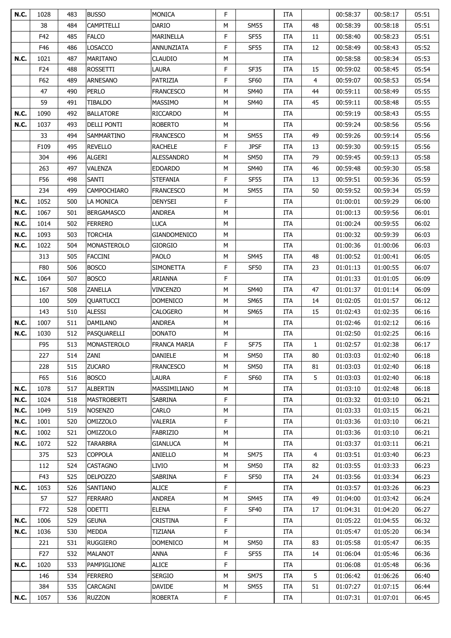| <b>N.C.</b> | 1028            | 483 | <b>BUSSO</b>       | <b>MONICA</b>       | F |                     | ITA               |                | 00:58:37             | 00:58:17             | 05:51 |
|-------------|-----------------|-----|--------------------|---------------------|---|---------------------|-------------------|----------------|----------------------|----------------------|-------|
|             | 38              | 484 | CAMPITELLI         | <b>DARIO</b>        | M | <b>SM55</b>         | ITA               | 48             | 00:58:39             | 00:58:18             | 05:51 |
|             | F42             | 485 | <b>FALCO</b>       | MARINELLA           | F | <b>SF55</b>         | ITA               | 11             | 00:58:40             | 00:58:23             | 05:51 |
|             | F46             | 486 | <b>LOSACCO</b>     | ANNUNZIATA          | F | <b>SF55</b>         | ITA               | 12             | 00:58:49             | 00:58:43             | 05:52 |
| <b>N.C.</b> | 1021            | 487 | <b>MARITANO</b>    | <b>CLAUDIO</b>      | M |                     | ITA               |                | 00:58:58             | 00:58:34             | 05:53 |
|             | F <sub>24</sub> | 488 | <b>ROSSETTI</b>    | LAURA               | F | <b>SF35</b>         | ITA               | 15             | 00:59:02             | 00:58:45             | 05:54 |
|             | F62             | 489 | <b>ARNESANO</b>    | PATRIZIA            | F | <b>SF60</b>         | ITA               | 4              | 00:59:07             | 00:58:53             | 05:54 |
|             | 47              | 490 | <b>PERLO</b>       | <b>FRANCESCO</b>    | M | <b>SM40</b>         | ITA               | 44             | 00:59:11             | 00:58:49             | 05:55 |
|             | 59              | 491 | TIBALDO            | <b>MASSIMO</b>      | M | SM40                | <b>ITA</b>        | 45             | 00:59:11             | 00:58:48             | 05:55 |
| <b>N.C.</b> | 1090            | 492 | <b>BALLATORE</b>   | <b>RICCARDO</b>     | M |                     | ITA               |                | 00:59:19             | 00:58:43             | 05:55 |
| N.C.        | 1037            | 493 | <b>DELLI PONTI</b> | <b>ROBERTO</b>      | M |                     | ITA               |                | 00:59:24             | 00:58:56             | 05:56 |
|             | 33              | 494 | SAMMARTINO         | <b>FRANCESCO</b>    | М | <b>SM55</b>         | <b>ITA</b>        | 49             | 00:59:26             | 00:59:14             | 05:56 |
|             | F109            | 495 | <b>REVELLO</b>     | <b>RACHELE</b>      | F | <b>JPSF</b>         | <b>ITA</b>        | 13             | 00:59:30             | 00:59:15             | 05:56 |
|             | 304             | 496 | <b>ALGERI</b>      | <b>ALESSANDRO</b>   | M | <b>SM50</b>         | <b>ITA</b>        | 79             | 00:59:45             | 00:59:13             | 05:58 |
|             | 263             | 497 | <b>VALENZA</b>     | <b>EDOARDO</b>      | M | <b>SM40</b>         | ITA               | 46             | 00:59:48             | 00:59:30             | 05:58 |
|             | F56             | 498 | SANTI              | <b>STEFANIA</b>     | F | SF55                | <b>ITA</b>        | 13             | 00:59:51             | 00:59:36             | 05:59 |
|             | 234             | 499 | CAMPOCHIARO        | <b>FRANCESCO</b>    | M | <b>SM55</b>         | ITA               | 50             | 00:59:52             | 00:59:34             | 05:59 |
| <b>N.C.</b> | 1052            | 500 | LA MONICA          | <b>DENYSEI</b>      | F |                     | ITA               |                | 01:00:01             | 00:59:29             | 06:00 |
| N.C.        | 1067            | 501 | <b>BERGAMASCO</b>  | <b>ANDREA</b>       | M |                     | ITA               |                | 01:00:13             | 00:59:56             | 06:01 |
| N.C.        | 1014            | 502 | <b>FERRERO</b>     | <b>LUCA</b>         | M |                     | ITA               |                | 01:00:24             | 00:59:55             | 06:02 |
| N.C.        | 1093            | 503 | <b>TORCHIA</b>     | <b>GIANDOMENICO</b> | М |                     | ITA               |                | 01:00:32             | 00:59:39             | 06:03 |
| <b>N.C.</b> | 1022            | 504 | <b>MONASTEROLO</b> | <b>GIORGIO</b>      | M |                     | ITA               |                | 01:00:36             | 01:00:06             | 06:03 |
|             | 313             | 505 | <b>FACCINI</b>     | <b>PAOLO</b>        | M |                     |                   | 48             |                      |                      | 06:05 |
|             | F80             | 506 | <b>BOSCO</b>       | <b>SIMONETTA</b>    | F | SM45<br><b>SF50</b> | <b>ITA</b><br>ITA | 23             | 01:00:52<br>01:01:13 | 01:00:41<br>01:00:55 | 06:07 |
| <b>N.C.</b> | 1064            | 507 | <b>BOSCO</b>       | <b>ARIANNA</b>      | F |                     | ITA               |                | 01:01:33             | 01:01:05             | 06:09 |
|             |                 |     |                    |                     |   |                     |                   |                |                      |                      |       |
|             | 167             | 508 | ZANELLA            | <b>VINCENZO</b>     | M | <b>SM40</b>         | ITA               | 47             | 01:01:37             | 01:01:14             | 06:09 |
|             | 100             | 509 | <b>QUARTUCCI</b>   | <b>DOMENICO</b>     | M | <b>SM65</b>         | ITA               | 14             | 01:02:05             | 01:01:57             | 06:12 |
|             | 143             | 510 | <b>ALESSI</b>      | <b>CALOGERO</b>     | M | SM65                | <b>ITA</b>        | 15             | 01:02:43             | 01:02:35             | 06:16 |
| <b>N.C.</b> | 1007            | 511 | <b>DAMILANO</b>    | ANDREA              | M |                     | ITA               |                | 01:02:46             | 01:02:12             | 06:16 |
| N.C.        | 1030            | 512 | PASQUARELLI        | <b>DONATO</b>       | М |                     | ITA               |                | 01:02:50             | 01:02:25             | 06:16 |
|             | F95             | 513 | <b>MONASTEROLO</b> | <b>FRANCA MARIA</b> | F | <b>SF75</b>         | <b>ITA</b>        | $\mathbf{1}$   | 01:02:57             | 01:02:38             | 06:17 |
|             | 227             | 514 | ZANI               | <b>DANIELE</b>      | M | <b>SM50</b>         | ITA               | 80             | 01:03:03             | 01:02:40             | 06:18 |
|             | 228             | 515 | <b>ZUCARO</b>      | <b>FRANCESCO</b>    | M | <b>SM50</b>         | <b>ITA</b>        | 81             | 01:03:03             | 01:02:40             | 06:18 |
|             | F65             | 516 | <b>BOSCO</b>       | <b>LAURA</b>        | F | SF60                | ITA               | 5              | 01:03:03             | 01:02:40             | 06:18 |
| <b>N.C.</b> | 1078            | 517 | ALBERTIN           | MASSIMILIANO        | М |                     | ITA               |                | 01:03:10             | 01:02:48             | 06:18 |
| <b>N.C.</b> | 1024            | 518 | <b>MASTROBERTI</b> | SABRINA             | F |                     | ITA               |                | 01:03:32             | 01:03:10             | 06:21 |
| <b>N.C.</b> | 1049            | 519 | <b>NOSENZO</b>     | <b>CARLO</b>        | М |                     | ITA               |                | 01:03:33             | 01:03:15             | 06:21 |
| <b>N.C.</b> | 1001            | 520 | <b>OMIZZOLO</b>    | VALERIA             | F |                     | ITA               |                | 01:03:36             | 01:03:10             | 06:21 |
| <b>N.C.</b> | 1002            | 521 | <b>OMIZZOLO</b>    | FABRIZIO            | M |                     | ITA               |                | 01:03:36             | 01:03:10             | 06:21 |
| <b>N.C.</b> | 1072            | 522 | TARARBRA           | GIANLUCA            | М |                     | ITA               |                | 01:03:37             | 01:03:11             | 06:21 |
|             | 375             | 523 | <b>COPPOLA</b>     | <b>ANIELLO</b>      | М | <b>SM75</b>         | <b>ITA</b>        | $\overline{4}$ | 01:03:51             | 01:03:40             | 06:23 |
|             | 112             | 524 | CASTAGNO           | LIVIO               | М | <b>SM50</b>         | ITA               | 82             | 01:03:55             | 01:03:33             | 06:23 |
|             | F43             | 525 | <b>DELPOZZO</b>    | SABRINA             | F | SF50                | ITA               | 24             | 01:03:56             | 01:03:34             | 06:23 |
| N.C.        | 1053            | 526 | SANTIANO           | <b>ALICE</b>        | F |                     | ITA               |                | 01:03:57             | 01:03:26             | 06:23 |
|             | 57              | 527 | <b>FERRARO</b>     | ANDREA              | М | SM45                | ITA               | 49             | 01:04:00             | 01:03:42             | 06:24 |
|             | F72             | 528 | <b>ODETTI</b>      | <b>ELENA</b>        | F | <b>SF40</b>         | ITA               | 17             | 01:04:31             | 01:04:20             | 06:27 |
| N.C.        | 1006            | 529 | GEUNA              | <b>CRISTINA</b>     | F |                     | ITA               |                | 01:05:22             | 01:04:55             | 06:32 |
| <b>N.C.</b> | 1036            | 530 | <b>MEDDA</b>       | TIZIANA             | F |                     | ITA               |                | 01:05:47             | 01:05:20             | 06:34 |
|             | 221             | 531 | RUGGIERO           | <b>DOMENICO</b>     | М | <b>SM50</b>         | <b>ITA</b>        | 83             | 01:05:58             | 01:05:47             | 06:35 |
|             | F27             | 532 | <b>MALANOT</b>     | ANNA                | F | <b>SF55</b>         | <b>ITA</b>        | 14             | 01:06:04             | 01:05:46             | 06:36 |
| <b>N.C.</b> | 1020            | 533 | PAMPIGLIONE        | <b>ALICE</b>        | F |                     | ITA               |                | 01:06:08             | 01:05:48             | 06:36 |
|             | 146             | 534 | <b>FERRERO</b>     | SERGIO              | М | <b>SM75</b>         | ITA               | 5              | 01:06:42             | 01:06:26             | 06:40 |
|             | 384             | 535 | CARCAGNI           | DAVIDE              | М | <b>SM55</b>         | <b>ITA</b>        | 51             | 01:07:27             | 01:07:15             | 06:44 |
| <b>N.C.</b> | 1057            | 536 | <b>RUZZON</b>      | <b>ROBERTA</b>      | F |                     | ITA               |                | 01:07:31             | 01:07:01             | 06:45 |